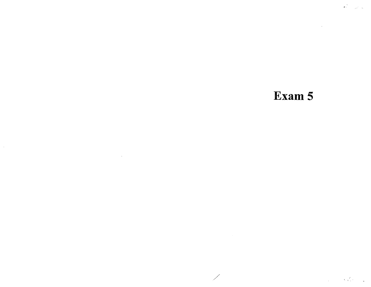# Exam 5

 $\label{eq:2.1} \frac{1}{\sqrt{2}}\int_{\mathbb{R}^3}\frac{1}{\sqrt{2}}\left(\frac{1}{\sqrt{2}}\right)^2\left(\frac{1}{\sqrt{2}}\right)^2\left(\frac{1}{\sqrt{2}}\right)^2\left(\frac{1}{\sqrt{2}}\right)^2\left(\frac{1}{\sqrt{2}}\right)^2\left(\frac{1}{\sqrt{2}}\right)^2.$ 

L.

 $\mathcal{L}_{\mathbf{A}}$  .

 $\mathcal{L}^{\text{max}}_{\text{max}}$  and  $\mathcal{L}^{\text{max}}_{\text{max}}$  and  $\mathcal{L}^{\text{max}}_{\text{max}}$ 

 $\label{eq:2} \begin{array}{c} \mathcal{L}^{\mathcal{D}}_{\mathcal{D}} = \mathcal{L}^{\mathcal{D}}_{\mathcal{D}} \left( \mathcal{L} \right) \end{array}$ 

 $\label{eq:2.1} \frac{1}{\sqrt{2}}\int_{\mathbb{R}^{2}}\left|\frac{d\mathbf{y}}{d\mathbf{x}}\right|^{2}dx\leq\frac{1}{\sqrt{2}}\int_{\mathbb{R}^{2}}\left|\frac{d\mathbf{y}}{d\mathbf{x}}\right|^{2}dx\leq\frac{1}{\sqrt{2}}\int_{\mathbb{R}^{2}}\left|\frac{d\mathbf{y}}{d\mathbf{x}}\right|^{2}dx$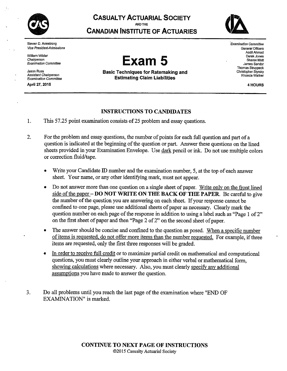

ł.

**CASUALTY ACTUARIAL SOCIETY** AND THE **CANADIAN INSTITUTE OF ACTUARIES** 



Steven D. Armstrong **Vice President-Admissions** 

William Wilder Chairperson Examination Committee

**Jason Russ Assistant Chairperson Examination Committee** 

April 27, 2015



**Basic Techniques for Ratemaking and Estimating Claim Liabilities** 

.<br>Examination Committee General Officers Aadil Ahmad Derek Jones Sharon Mott James Sandor **Thomas Struppeck** Christopher Styrsky Rhonda Walker

4 HOURS

# **INSTRUCTIONS TO CANDIDATES**

1. This 57.25 point examination consists of 25 problem and essay questions.

- $2.$ For the problem and essay questions, the number of points for each full question and part of a question is indicated at the beginning of the question or part. Answer these questions on the lined sheets provided in your Examination Envelope. Use dark pencil or ink. Do not use multiple colors or correction fluid/tape.
	- Write your Candidate ID number and the examination number, 5, at the top of each answer  $\bullet$ sheet. Your name, or any other identifying mark, must not appear.
	- Do not answer more than one question on a single sheet of paper. Write only on the front lined  $\bullet$ side of the paper – DO NOT WRITE ON THE BACK OF THE PAPER. Be careful to give the number of the question you are answering on each sheet. If your response cannot be confined to one page, please use additional sheets of paper as necessary. Clearly mark the question number on each page of the response in addition to using a label such as "Page 1 of 2" on the first sheet of paper and then "Page 2 of 2" on the second sheet of paper.
	- The answer should be concise and confined to the question as posed. When a specific number  $\bullet$ of items is requested, do not offer more items than the number requested. For example, if three items are requested, only the first three responses will be graded.
	- In order to receive full credit or to maximize partial credit on mathematical and computational  $\bullet$ questions, you must clearly outline your approach in either verbal or mathematical form, showing calculations where necessary. Also, you must clearly specify any additional assumptions you have made to answer the question.
- $3.$ Do all problems until you reach the last page of the examination where "END OF EXAMINATION" is marked.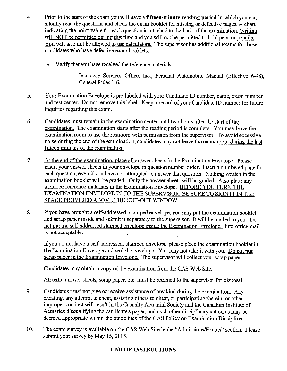- $4.$ Prior to the start of the exam you will have a fifteen-minute reading period in which you can silently read the questions and check the exam booklet for missing or defective pages. A chart indicating the point value for each question is attached to the back of the examination. Writing will NOT be permitted during this time and you will not be permitted to hold pens or pencils. You will also not be allowed to use calculators. The supervisor has additional exams for those candidates who have defective exam booklets.
	- Verify that you have received the reference materials:

Insurance Services Office, Inc., Personal Automobile Manual (Effective 6-98), General Rules 1-6.

- 5. Your Examination Envelope is pre-labeled with your Candidate ID number, name, exam number and test center. Do not remove this label. Keep a record of your Candidate ID number for future inquiries regarding this exam.
- 6. Candidates must remain in the examination center until two hours after the start of the examination. The examination starts after the reading period is complete. You may leave the examination room to use the restroom with permission from the supervisor. To avoid excessive noise during the end of the examination, candidates may not leave the exam room during the last fifteen minutes of the examination.
- 7. At the end of the examination, place all answer sheets in the Examination Envelope. Please insert your answer sheets in your envelope in question number order. Insert a numbered page for each question, even if you have not attempted to answer that question. Nothing written in the examination booklet will be graded. Only the answer sheets will be graded. Also place any included reference materials in the Examination Envelope. BEFORE YOU TURN THE EXAMINATION ENVELOPE IN TO THE SUPERVISOR, BE SURE TO SIGN IT IN THE SPACE PROVIDED ABOVE THE CUT-OUT WINDOW.
- If you have brought a self-addressed, stamped envelope, you may put the examination booklet 8. and scrap paper inside and submit it separately to the supervisor. It will be mailed to you. Do not put the self-addressed stamped envelope inside the Examination Envelope. Interoffice mail is not acceptable.

If you do not have a self-addressed, stamped envelope, please place the examination booklet in the Examination Envelope and seal the envelope. You may not take it with you. Do not put scrap paper in the Examination Envelope. The supervisor will collect your scrap paper.

Candidates may obtain a copy of the examination from the CAS Web Site.

All extra answer sheets, scrap paper, etc. must be returned to the supervisor for disposal.

- 9. Candidates must not give or receive assistance of any kind during the examination. Any cheating, any attempt to cheat, assisting others to cheat, or participating therein, or other improper conduct will result in the Casualty Actuarial Society and the Canadian Institute of Actuaries disqualifying the candidate's paper, and such other disciplinary action as may be deemed appropriate within the guidelines of the CAS Policy on Examination Discipline.
- 10. The exam survey is available on the CAS Web Site in the "Admissions/Exams" section. Please submit your survey by May 15, 2015.

# **END OF INSTRUCTIONS**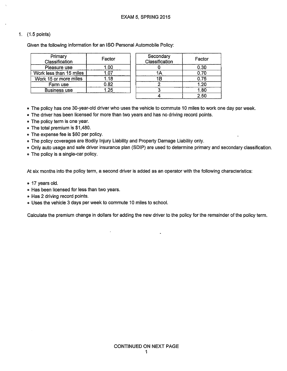Given the following information for an ISO Personal Automobile Policy:

| Primary<br>Classification | Factor | Secondary<br>Classification | Factor |
|---------------------------|--------|-----------------------------|--------|
| Pleasure use              | .00    |                             | 0.30   |
| Work less than 15 miles   |        |                             | 0.70   |
| Work 15 or more miles     | .18    |                             | 0.75   |
| Farm use                  | 0.82   |                             | 1.20   |
| <b>Business use</b>       | -25    |                             | 1.80   |
|                           |        |                             | 2.5C   |

- . The policy has one 30-year-old driver who uses the vehicle to commute 10 miles to work one day per week.
- The driver has been licensed for more than two years and has no driving record points.
- The policy term is one year.
- The total premium is \$1,480.
- The expense fee is \$80 per policy.
- . The policy coverages are Bodily Injury Liability and Property Damage Liability only.
- Only auto usage and safe driver insurance plan (SDIP) are used to determine primary and secondary classification.
- The policy is a single-car policy.

At six months into the policy term, a second driver is added as an operator with the following characteristics:

- 17 years old.
- Has been licensed for less than two years.
- Has 2 driving record points.
- . Uses the vehicle 3 days per week to commute 10 miles to school.

Calculate the premium change in dollars for adding the new driver to the policy for the remainder of the policy term.

 $\bullet$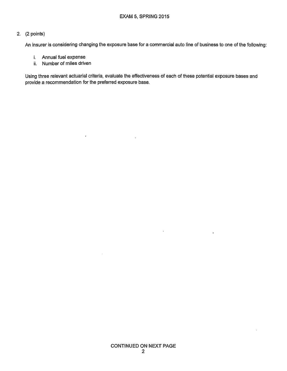An insurer is considering changing the exposure base for a commercial auto line of business to one of the following:

- i. Annual fuel expense
- ii. Number of miles driven

 $\ddot{\phantom{a}}$ 

Using three relevant actuarial criteria, evaluate the effectiveness of each of these potential exposure bases and provide a recommendation for the preferred exposure base.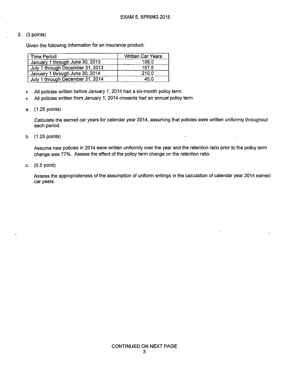#### $3.$  (3 points)

Given the following information for an insurance product:

| <b>Time Period</b>               | <b>Written Car Years</b> |
|----------------------------------|--------------------------|
| January 1 through June 30, 2013  | 106.0                    |
| July 1 through December 31, 2013 | 107.5                    |
| January 1 through June 30, 2014  | 210.0                    |
| July 1 through December 31, 2014 | 45.0                     |

- All policies written before January 1, 2014 had a six-month policy term.  $\bullet$
- All policies written from January 1, 2014 onwards had an annual policy term.  $\bullet$
- a. (1.25 points)

Calculate the earned car years for calendar year 2014, assuming that policies were written uniformly throughout each period.

b. (1.25 points)

Assume new policies in 2014 were written uniformly over the year and the retention ratio prior to the policy term change was 77%. Assess the effect of the policy term change on the retention ratio.

c.  $(0.5 \text{ point})$ 

Assess the appropriateness of the assumption of uniform writings in the calculation of calendar year 2014 earned car years.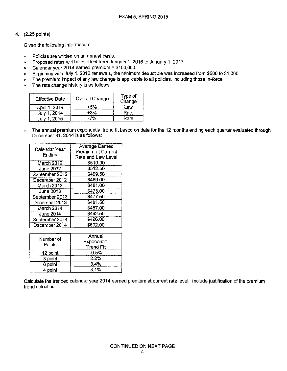Given the following information:

- Policies are written on an annual basis.  $\bullet$
- Proposed rates will be in effect from January 1, 2016 to January 1, 2017.  $\bullet$

in de la c

- Calendar year 2014 earned premium = \$100,000.  $\bullet$
- Beginning with July 1, 2012 renewals, the minimum deductible was increased from \$500 to \$1,000.  $\bullet$
- The premium impact of any law change is applicable to all policies, including those in-force.  $\bullet$
- The rate change history is as follows:  $\bullet$

| <b>Effective Date</b> | <b>Overall Change</b> | Type of<br>Change |
|-----------------------|-----------------------|-------------------|
| April 1, 2014         | +5%                   | Law               |
| . 2014<br>July "      | +3%                   | Rate              |
| 2015                  | 7%                    | Rate              |

<u>and come a commer</u>

The annual premium exponential trend fit based on data for the 12 months ending each quarter evaluated through  $\bullet$ December 31, 2014 is as follows:

|                  | <b>Average Earned</b>     |  |
|------------------|---------------------------|--|
| Calendar Year    | <b>Premium at Current</b> |  |
| Ending           | Rate and Law Level        |  |
| March 2012       | \$510.00                  |  |
| <b>June 2012</b> | \$512.50                  |  |
| September 2012   | \$499.50                  |  |
| December 2012    | \$489.00                  |  |
| March 2013       | \$481.00                  |  |
| June 2013        | \$473.00                  |  |
| September 2013   | \$477.50                  |  |
| December 2013    | \$481.50                  |  |
| March 2014       | \$487.00                  |  |
| <b>June 2014</b> | \$492.50                  |  |
| September 2014   | \$496.00                  |  |
| December 2014    | \$502.00                  |  |

| Number of<br>Points | Annual<br>Exponential<br><b>Trend Fit</b> |  |
|---------------------|-------------------------------------------|--|
| 12 point            | $-0.5%$                                   |  |
| 8 point             | 2.2%                                      |  |
| 6 point             | 3.4%                                      |  |
| 4 point             | 3.1%                                      |  |

Calculate the trended calendar year 2014 earned premium at current rate level. Include justification of the premium trend selection.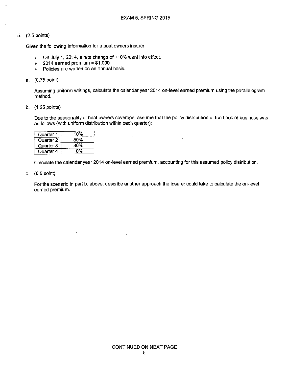Given the following information for a boat owners insurer:

- On July 1, 2014, a rate change of +10% went into effect.  $\bullet$
- 2014 earned premium =  $$1,000$ .  $\bullet$
- Policies are written on an annual basis.  $\bullet$

#### a. (0.75 point)

Assuming uniform writings, calculate the calendar year 2014 on-level earned premium using the parallelogram method.

b. (1.25 points)

Due to the seasonality of boat owners coverage, assume that the policy distribution of the book of business was as follows (with uniform distribution within each quarter):

| Quarter 1 | 10% |
|-----------|-----|
| Quarter 2 | 50% |
| Quarter 3 | 30% |
| Quarter 4 | 10% |

Calculate the calendar year 2014 on-level earned premium, accounting for this assumed policy distribution.

c.  $(0.5 \text{ point})$ 

For the scenario in part b. above, describe another approach the insurer could take to calculate the on-level earned premium.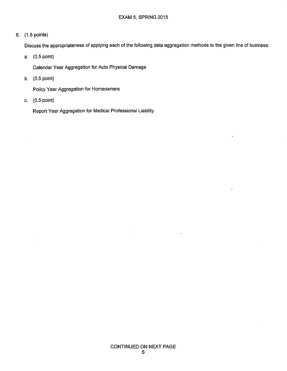Discuss the appropriateness of applying each of the following data aggregation methods to the given line of business:

a. (0.5 point)

Calendar Year Aggregation for Auto Physical Damage

b.  $(0.5 \text{ point})$ 

Policy Year Aggregation for Homeowners

c.  $(0.5 \text{ point})$ 

Report Year Aggregation for Medical Professional Liability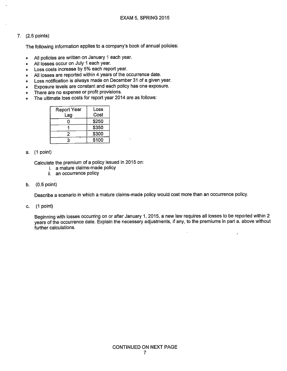The following information applies to a company's book of annual policies:

- All policies are written on January 1 each year.  $\bullet$
- All losses occur on July 1 each year.  $\bullet$
- Loss costs increase by 5% each report year. ø
- All losses are reported within 4 years of the occurrence date.
- Loss notification is always made on December 31 of a given year.  $\bullet$
- Exposure levels are constant and each policy has one exposure.  $\bullet$
- There are no expense or profit provisions.  $\bullet$
- The ultimate loss costs for report year 2014 are as follows:  $\bullet$

| Report Year<br>Lag | Loss<br>Cost |
|--------------------|--------------|
| H                  | \$250        |
|                    | \$350        |
|                    | \$300        |
| 3                  | \$100        |

#### a. (1 point)

Calculate the premium of a policy issued in 2015 on:

- i a mature claims-made policy
- ii. an occurrence policy
- $(0.5$  point) b.

Describe a scenario in which a mature claims-made policy would cost more than an occurrence policy.

c.  $(1 point)$ 

Beginning with losses occurring on or after January 1, 2015, a new law requires all losses to be reported within 2 years of the occurrence date. Explain the necessary adjustments, if any, to the premiums in part a. above without further calculations.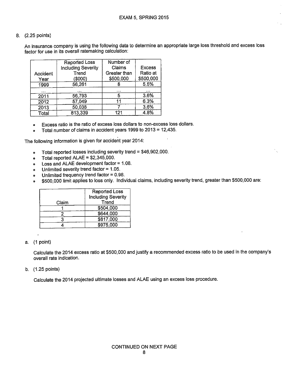An insurance company is using the following data to determine an appropriate large loss threshold and excess loss factor for use in its overall ratemaking calculation:

| Accident<br>Year | <b>Reported Loss</b><br><b>Including Severity</b><br>Trend<br>(\$000) | Number of<br>Claims<br>Greater than<br>\$500,000 | <b>Excess</b><br>Ratio at<br>\$500,000 |
|------------------|-----------------------------------------------------------------------|--------------------------------------------------|----------------------------------------|
| 1999             | 56,261                                                                |                                                  | 5.5%                                   |
| $\cdots$         |                                                                       | .                                                |                                        |
| 2011             | 56,793                                                                |                                                  | 3.6%                                   |
| 2012             | 57,049                                                                | 11                                               | 6.3%                                   |
| 2013             | 50,038                                                                |                                                  | 3.6%                                   |
| Total            | 813,339                                                               | 121                                              | 4.8%                                   |

- Excess ratio is the ratio of excess loss dollars to non-excess loss dollars.  $\bullet$
- Total number of claims in accident years 1999 to 2013 = 12,435.  $\bullet$

The following information is given for accident year 2014:

- Total reported losses including severity trend =  $$46,902,000$ .  $\bullet$
- Total reported  $ALAE = $2,345,000$ .  $\pmb{\circ}$
- Loss and ALAE development factor = 1.08.  $\bullet$
- Unlimited severity trend factor =  $1.05$ .  $\bullet$
- Unlimited frequency trend factor =  $0.98$ .  $\bullet$
- \$500,000 limit applies to loss only. Individual claims, including severity trend, greater than \$500,000 are:  $\bullet$

|       | <b>Reported Loss</b>      |  |
|-------|---------------------------|--|
|       | <b>Including Severity</b> |  |
| Claim | Trend                     |  |
|       | \$504,000                 |  |
|       | \$644,000                 |  |
|       | \$817,000                 |  |
|       | \$975,000                 |  |

#### a. (1 point)

Calculate the 2014 excess ratio at \$500,000 and justify a recommended excess ratio to be used in the company's overall rate indication.

#### b.  $(1.25 \text{ points})$

Calculate the 2014 projected ultimate losses and ALAE using an excess loss procedure.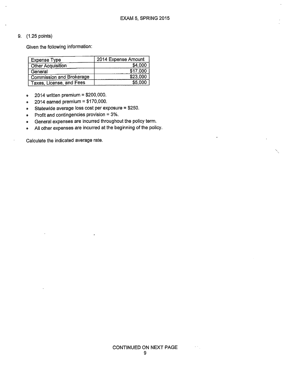#### 9. (1.25 points)

Given the following information:

| <b>Expense Type</b>      | 2014 Expense Amount |
|--------------------------|---------------------|
| <b>Other Acquisition</b> | \$4,000             |
| General                  | \$17.000            |
| Commission and Brokerage | \$23,000            |
| Taxes, License, and Fees | \$5,000             |

- 2014 written premium =  $$200,000$ .  $\bullet$
- 2014 earned premium =  $$170,000$ .  $\bullet$
- Statewide average loss cost per exposure = \$250.  $\bullet$
- Profit and contingencies provision = 3%. 0
- General expenses are incurred throughout the policy term.  $\bullet$
- All other expenses are incurred at the beginning of the policy.  $\bullet$

Calculate the indicated average rate.

 $\epsilon$  .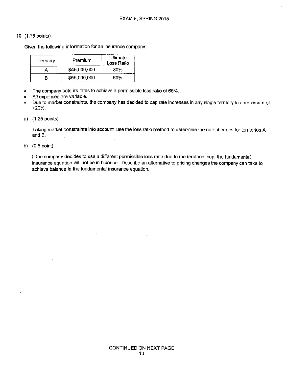#### 10. (1.75 points)

Given the following information for an insurance company:

| Territory | Premium      | Ultimate<br>Loss Ratio |
|-----------|--------------|------------------------|
|           | \$45,000,000 | 80%                    |
|           | \$55,000,000 | 60%                    |

- The company sets its rates to achieve a permissible loss ratio of 65%.  $\bullet$
- All expenses are variable.  $\bullet$

Due to market constraints, the company has decided to cap rate increases in any single territory to a maximum of  $\bullet$  $+20%$ .

a) (1.25 points)

Taking market constraints into account, use the loss ratio method to determine the rate changes for territories A and  $B$ .

b)  $(0.5 \text{ point})$ 

If the company decides to use a different permissible loss ratio due to the territorial cap, the fundamental insurance equation will not be in balance. Describe an alternative to pricing changes the company can take to achieve balance in the fundamental insurance equation.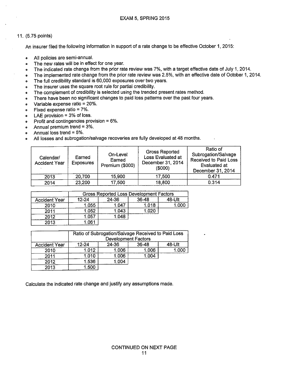#### 11. (5.75 points)

An insurer filed the following information in support of a rate change to be effective October 1, 2015:

- All policies are semi-annual.  $\bullet$
- The new rates will be in effect for one year.  $\bullet$
- The indicated rate change from the prior rate review was 7%, with a target effective date of July 1, 2014.  $\bullet$
- The implemented rate change from the prior rate review was 2.5%, with an effective date of October 1, 2014.  $\bullet$
- The full credibility standard is 60,000 exposures over two years.  $\bullet$
- The insurer uses the square root rule for partial credibility.  $\bullet$
- The complement of credibility is selected using the trended present rates method.  $\bullet$
- There have been no significant changes to paid loss patterns over the past four years.  $\bullet$
- Variable expense ratio = 20%.  $\bullet$
- Fixed expense ratio = 7%.  $\bullet$
- LAE provision =  $3\%$  of loss.  $\bullet$
- Profit and contingencies provision = 6%.  $\bullet$
- Annual premium trend = 3%.  $\bullet$
- Annual loss trend =  $5\%$ .  $\bullet$
- All losses and subrogation/salvage recoveries are fully developed at 48 months.  $\bullet$

| Calendar/<br><b>Accident Year</b> | Earned<br><b>Exposures</b> | On-Level<br>Earned<br>Premium (\$000) | <b>Gross Reported</b><br>Loss Evaluated at<br>December 31, 2014<br>(\$000) | Ratio of<br>Subrogation/Salvage<br><b>Received to Paid Loss</b><br>Evaluated at<br>December 31, 2014 |
|-----------------------------------|----------------------------|---------------------------------------|----------------------------------------------------------------------------|------------------------------------------------------------------------------------------------------|
| 2013                              | 20,700                     | 15,900                                | 17,500                                                                     | 0.471                                                                                                |
| 2014                              | 23,200                     | 17,500                                | 18,800                                                                     | 0.314                                                                                                |

|                      |        |       | Gross Reported Loss Development Factors |        |
|----------------------|--------|-------|-----------------------------------------|--------|
| <b>Accident Year</b> | 12-24  | 24-36 | $36-48$                                 | 48-Ult |
| 2010                 | 1.055  | 1.047 | 1.018                                   |        |
| 2011                 | 1.052  | 1.043 | 1.020                                   |        |
| 2012                 | .057   | 1.048 |                                         |        |
| 2013                 | 1.06'' |       |                                         |        |

|                      | Ratio of Subrogation/Salvage Received to Paid Loss<br><b>Development Factors</b> |       |           |        |
|----------------------|----------------------------------------------------------------------------------|-------|-----------|--------|
| <b>Accident Year</b> | 12-24                                                                            | 24-36 | $36 - 48$ | 48-Ult |
| 2010                 | 1.012                                                                            | 1.006 | 1.006     | 1.000  |
| 2011                 | 1.010                                                                            | 1.006 | 1.004     |        |
| 2012                 | 1.536                                                                            | 1.004 |           |        |
| 2013                 | 1.500                                                                            |       |           |        |

Calculate the indicated rate change and justify any assumptions made.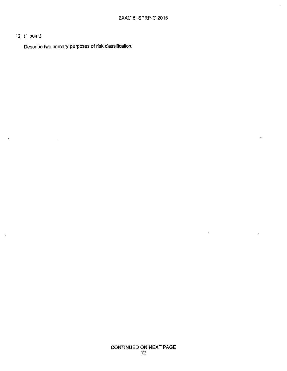# 12. (1 point)

 $\ddot{\phantom{1}}$ 

Describe two primary purposes of risk classification.

 $\ddot{\phantom{0}}$ 

 $\ddot{\phantom{0}}$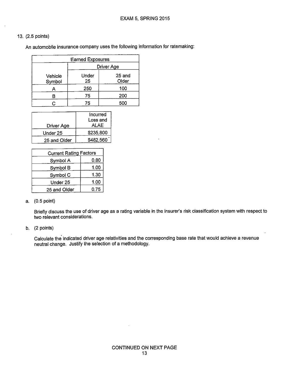An automobile insurance company uses the following information for ratemaking:

| <b>Earned Exposures</b> |                   |                   |  |  |  |
|-------------------------|-------------------|-------------------|--|--|--|
|                         | <b>Driver Age</b> |                   |  |  |  |
| Vehicle<br>Symbol       | Under<br>25       | $25$ and<br>Older |  |  |  |
|                         | 250               | 100               |  |  |  |
|                         | 75                | 200               |  |  |  |
|                         | 75                | 500               |  |  |  |

|                   | Incurred  |
|-------------------|-----------|
|                   | Loss and  |
| <b>Driver Age</b> | ALAE      |
| Under 25          | \$235,800 |
| 25 and Older      | \$482,560 |

| <b>Current Rating Factors</b> |      |
|-------------------------------|------|
| Symbol A                      | 0.80 |
| Symbol B                      | 1.00 |
| Symbol C                      | 1.30 |
| Under 25                      | 1.00 |
| 25 and Older                  | 0.75 |

#### a. (0.5 point)

Briefly discuss the use of driver age as a rating variable in the insurer's risk classification system with respect to two relevant considerations.

#### b. (2 points)

Calculate the indicated driver age relativities and the corresponding base rate that would achieve a revenue neutral change. Justify the selection of a methodology.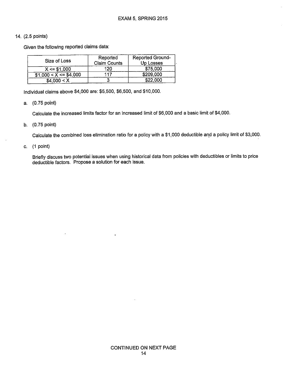Given the following reported claims data:

| Size of Loss            | Reported<br><b>Claim Counts</b> | <b>Reported Ground-</b><br><b>Up Losses</b> |
|-------------------------|---------------------------------|---------------------------------------------|
| $X \le 1.000$           | 120                             | \$75,000                                    |
| $$1,000 < X < = $4,000$ | 117                             | \$209,000                                   |
| \$4,000 < X             |                                 | \$22,000                                    |

Individual claims above \$4,000 are: \$5,500, \$6,500, and \$10,000.

a. (0.75 point)

Calculate the increased limits factor for an increased limit of \$6,000 and a basic limit of \$4,000.

b. (0.75 point)

Calculate the combined loss elimination ratio for a policy with a \$1,000 deductible and a policy limit of \$3,000.

c.  $(1 point)$ 

Briefly discuss two potential issues when using historical data from policies with deductibles or limits to price deductible factors. Propose a solution for each issue.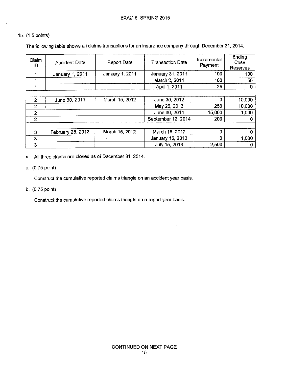The following table shows all claims transactions for an insurance company through December 31, 2014.

| Claim<br>ID    | <b>Accident Date</b> | <b>Report Date</b> | <b>Transaction Date</b> | Incremental<br>Payment | Ending<br>Case<br><b>Reserves</b> |
|----------------|----------------------|--------------------|-------------------------|------------------------|-----------------------------------|
|                | January 1, 2011      | January 1, 2011    | January 31, 2011        | 100                    | 100                               |
|                |                      |                    | March 2, 2011           | 100                    | 50                                |
|                |                      |                    | April 1, 2011           | 25                     | 0                                 |
|                |                      |                    |                         |                        |                                   |
| $\overline{2}$ | June 30, 2011        | March 15, 2012     | June 30, 2012           | 0                      | 10,000                            |
| $\overline{2}$ |                      |                    | May 25, 2013            | 250                    | 10,000                            |
| $\overline{2}$ |                      |                    | June 30, 2014           | 15,000                 | 1,000                             |
| 2              |                      |                    | September 12, 2014      | 200                    | 0                                 |
|                |                      |                    |                         |                        |                                   |
| 3              | February 25, 2012    | March 15, 2012     | March 15, 2012          | 0                      | n                                 |
| 3              |                      |                    | January 15, 2013        | $\Omega$               | 1,000                             |
| 3              |                      |                    | July 15, 2013           | 2,500                  | 0                                 |

All three claims are closed as of December 31, 2014. ø

a. (0.75 point)

Construct the cumulative reported claims triangle on an accident year basis.

b. (0.75 point)

Construct the cumulative reported claims triangle on a report year basis.

 $\overline{a}$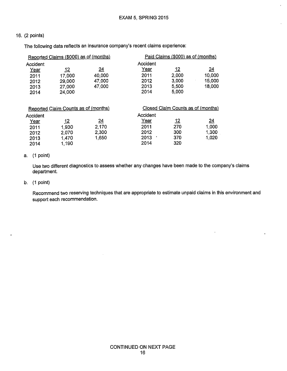J.

#### 16. (2 points)

The following data reflects an insurance company's recent claims experience:

 $\bar{z}$ 

| Reported Claims (\$000) as of (months) |            |            | Paid Claims (\$000) as of (months) |       |        |
|----------------------------------------|------------|------------|------------------------------------|-------|--------|
| Accident                               |            |            | Accident                           |       |        |
| <u>Year</u>                            | <u> 12</u> | <u> 24</u> | Year                               | 12    | 24     |
| 2011                                   | 17,000     | 40,000     | 2011                               | 2,000 | 10,000 |
| 2012                                   | 29,000     | 47,000     | 2012                               | 3,000 | 15,000 |
| 2013                                   | 27,000     | 47,000     | 2013                               | 5,500 | 18,000 |
| 2014                                   | 24,000     |            | 2014                               | 5,000 |        |

| Reported Claim Counts as of (months) |            |                 | Closed Claim Counts as of (months) |            |            |
|--------------------------------------|------------|-----------------|------------------------------------|------------|------------|
| Accident                             |            |                 | Accident                           |            |            |
| <u>Year</u>                          | <u> 12</u> | $\overline{24}$ | <u>Year</u>                        | <u> 12</u> | <u> 24</u> |
| 2011                                 | 1.930      | 2.170           | 2011                               | 270        | 1,000      |
| 2012                                 | 2,070      | 2,300           | 2012                               | 300        | 1,300      |
| 2013                                 | 1.470      | 1,650           | 2013                               | 370        | 4,020      |
| 2014                                 | 1,190      |                 | 2014                               | 320        |            |

#### a. (1 point)

Use two different diagnostics to assess whether any changes have been made to the company's claims department.

#### b.  $(1 point)$

Recommend two reserving techniques that are appropriate to estimate unpaid claims in this environment and support each recommendation.

 $\ddot{\phantom{1}}$ 

.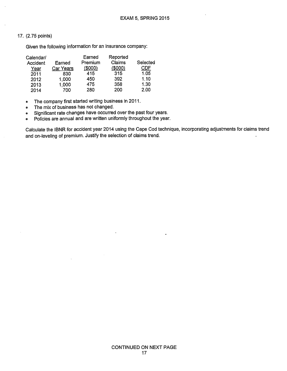Given the following information for an insurance company:

| Calendar/ |           | Earned  | Reported |          |
|-----------|-----------|---------|----------|----------|
| Accident  | Earned    | Premium | Claims   | Selected |
| Year      | Car Years | (\$000) | (\$000)  | CDF      |
| 2011      | 830       | 415     | 315      | 1.05     |
| 2012      | 1,000     | 450     | 392      | 1.10     |
| 2013      | 1,000     | 475     | 358      | 1.30     |
| 2014      | 700       | 280     | 200      | 2.00     |

The company first started writing business in 2011.  $\bullet$ 

The mix of business has not changed.  $\bullet$ 

Significant rate changes have occurred over the past four years.  $\bullet$ 

Policies are annual and are written uniformly throughout the year.  $\bullet$ 

Calculate the IBNR for accident year 2014 using the Cape Cod technique, incorporating adjustments for claims trend and on-leveling of premium. Justify the selection of claims trend.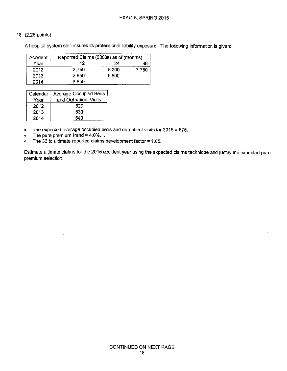A hospital system self-insures its professional liability exposure. The following information is given:

| Accident | Reported Claims (\$000s) as of (months) |       |       |  |
|----------|-----------------------------------------|-------|-------|--|
| Year     | 12                                      | 24    | 36    |  |
| 2012     | 2,750                                   | 6,200 | 7.750 |  |
| 2013     | 2.950                                   | 6,600 |       |  |
| 2014     | 3.850                                   |       |       |  |

| Calendar | Average Occupied Beds |
|----------|-----------------------|
| Year     | and Outpatient Visits |
| 2012     | 520                   |
| 2013     | 530                   |
| 2014     | 540                   |

- The expected average occupied beds and outpatient visits for  $2015 = 575$ .  $\bullet$
- The pure premium trend =  $4.0\%$ ..  $\bullet$
- The 36 to ultimate reported claims development factor =  $1.05$ .  $\bullet$

Estimate ultimate claims for the 2015 accident year using the expected claims technique and justify the expected pure premium selection.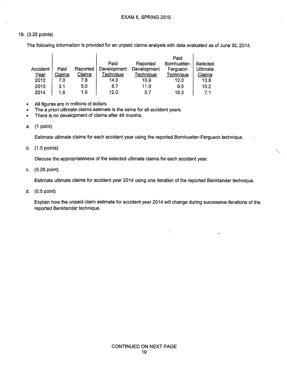#### 19. (3.25 points)

 $\overline{1}$ 

The following information is provided for an unpaid claims analysis with data evaluated as of June 30, 2014.

|                 |        |          |             |             | Paid         |                 |
|-----------------|--------|----------|-------------|-------------|--------------|-----------------|
|                 |        |          | Paid        | Reported    | Bornhuetter- | Selected        |
| <b>Accident</b> | Paid   | Reported | Development | Development | Ferguson     | <b>Ultimate</b> |
| <u>Year</u>     | Claims | Claims   | Technique   | Technique   | Technique    | Claims          |
| 2012            | 7.0    | 7.8      | 14.0        | 10.9        | 12.0         | 13.8            |
| 2013            | 3.1    | 5.0      | 8.7         | 11.0        | 9.5          | 10.2            |
| 2014            | 1.5    | 19       | 12.0        | 57          | 10.3         | 71              |

- All figures are in millions of dollars.  $\bullet$
- The a priori ultimate claims estimate is the same for all accident years.  $\bullet$
- There is no development of claims after 48 months.  $\bullet$

#### a. (1 point)

Estimate ultimate claims for each accident year using the reported Bornhuetter-Ferguson technique.

b.  $(1.5 \text{ points})$ 

Discuss the appropriateness of the selected ultimate claims for each accident year.

c. (0.25 point)

Estimate ultimate claims for accident year 2014 using one iteration of the reported Benktander technique.

d.  $(0.5 \text{ point})$ 

Explain how the unpaid claim estimate for accident year 2014 will change during successive iterations of the reported Benktander technique.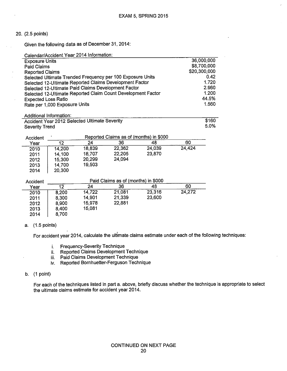Given the following data as of December 31, 2014:

|                               |                         | Calendar/Accident Year 2014 Information:      |                                                              |        |        |              |
|-------------------------------|-------------------------|-----------------------------------------------|--------------------------------------------------------------|--------|--------|--------------|
| <b>Exposure Units</b>         |                         |                                               |                                                              |        |        | 36,000,000   |
| Paid Claims                   |                         |                                               |                                                              |        |        | \$8,700,000  |
| <b>Reported Claims</b>        |                         |                                               |                                                              |        |        | \$20,300,000 |
|                               |                         |                                               | Selected Ultimate Trended Frequency per 100 Exposure Units   |        |        | 0.42         |
|                               |                         |                                               | Selected 12-Ultimate Reported Claims Development Factor      |        |        | 1.720        |
|                               |                         |                                               | Selected 12-Ultimate Paid Claims Development Factor          |        |        | 2.960        |
|                               |                         |                                               | Selected 12-Ultimate Reported Claim Count Development Factor |        |        | 1.200        |
| <b>Expected Loss Ratio</b>    |                         |                                               |                                                              |        |        | 44.5%        |
| Rate per 1,000 Exposure Units |                         | 1560                                          |                                                              |        |        |              |
|                               |                         |                                               |                                                              |        |        |              |
|                               | Additional Information: |                                               |                                                              |        |        |              |
|                               |                         | Accident Year 2012 Selected Ultimate Severity |                                                              |        |        | \$160        |
| <b>Severity Trend</b>         |                         |                                               |                                                              |        |        | 5.0%         |
|                               |                         |                                               |                                                              |        |        |              |
| Accident                      |                         |                                               | Reported Claims as of (months) in \$000                      |        |        |              |
| Year                          | $\overline{12}$         | 24                                            | 36                                                           | 48     | 60     |              |
| 2010                          | 14,200                  | 18,839                                        | 22,362                                                       | 24,039 | 24,424 |              |
| 2011                          | 14,100                  | 18,707                                        | 22,205                                                       | 23,870 |        |              |
| 2012                          | 15,300                  | 20,299                                        | 24,094                                                       |        |        |              |
| 2013                          | 14,700                  | 19,503                                        |                                                              |        |        |              |
| 2014                          | 20,300                  |                                               |                                                              |        |        |              |
|                               |                         |                                               |                                                              |        |        |              |
| Accident                      |                         |                                               | Paid Claims as of (months) in \$000                          |        |        |              |
| Year                          | 12                      | 24                                            | 36                                                           | 48     | 60     |              |
| 2010                          | 8,200                   | 14,722                                        | 21,081                                                       | 23,316 | 24,272 |              |
| 2011                          | 8,300                   | 14,901                                        | 21,339                                                       | 23,600 |        |              |
| 2012                          | 8,900                   | 15,978                                        | 22,881                                                       |        |        |              |
| 2013                          | 8,400                   | 15,081                                        |                                                              |        |        |              |
| 2014                          | 8,700                   |                                               |                                                              |        |        |              |

#### a. (1.5 points)

For accident year 2014, calculate the ultimate claims estimate under each of the following techniques:

- i. Frequency-Severity Technique
- ii. Reported Claims Development Technique
- 
- iii. Paid Claims Development Technique<br>iv. Reported Bornhuetter-Ferguson Technique
- $b.$  (1 point)

For each of the techniques listed in part a. above, briefly discuss whether the technique is appropriate to select the ultimate claims estimate for accident year 2014.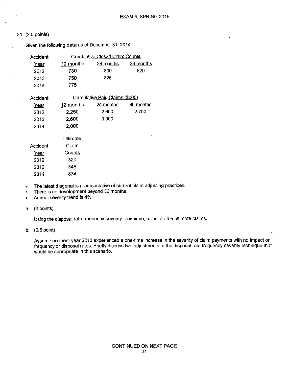Given the following data as of December 31, 2014:

| Accident    |                  | <b>Cumulative Closed Claim Counts</b> |                  |
|-------------|------------------|---------------------------------------|------------------|
| <u>Year</u> | 12 months        | <u>24 months</u>                      | <u>36 months</u> |
| 2012        | 730              | 800                                   | 820              |
| 2013        | 750              | 825                                   |                  |
| 2014        | 775              |                                       |                  |
| Accident    |                  | Cumulative Paid Claims (\$000)        |                  |
| <u>Year</u> | <u>12 months</u> | 24 months                             | 36 months        |
| 2012        | 2,250            | 2,600                                 | 2,700            |
| 2013        | 2,600            | 3,000                                 |                  |
| 2014        | 2,000            |                                       |                  |
|             | Ultimate         |                                       |                  |
| Accident    | Claim            |                                       |                  |
| Year        | <b>Counts</b>    |                                       |                  |
| 2012        | 820              |                                       |                  |
| 2013        | 846              |                                       |                  |
| 2014        | 874              |                                       |                  |

The latest diagonal is representative of current claim adjusting practices.  $\bullet$ 

- There is no development beyond 36 months.  $\bullet$
- Annual severity trend is 4%.  $\bullet$

a. (2 points)

Using the disposal rate frequency-severity technique, calculate the ultimate claims.

b.  $(0.5 \text{ point})$ 

Assume accident year 2013 experienced a one-time increase in the severity of claim payments with no impact on frequency or disposal rates. Briefly discuss two adjustments to the disposal rate frequency-severity technique that would be appropriate in this scenario.

 $\bar{z}$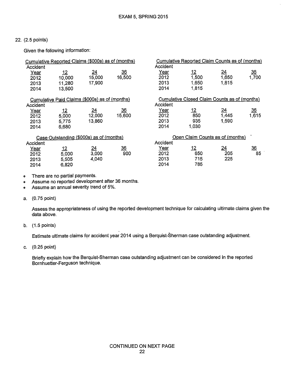Given the following information:

|             | Cumulative Reported Claims (\$000s) as of (months) |                 |                 |          | Cumulative Reported Claim Counts as of (months) |                 |                    |
|-------------|----------------------------------------------------|-----------------|-----------------|----------|-------------------------------------------------|-----------------|--------------------|
| Accident    |                                                    |                 |                 | Accident |                                                 |                 |                    |
| Year        | <u> 12</u>                                         | $\overline{24}$ | $\frac{36}{5}$  | Year     | <u> 12</u>                                      | <u>24</u>       | $\frac{36}{1,700}$ |
| 2012        | 10,000                                             | 15,000          | 16,500          | 2012     | 1,500                                           | 1,650           |                    |
| 2013        | 11,280                                             | 17,900          |                 | 2013     | 1650                                            | 1815            |                    |
| 2014        | 13,500                                             |                 |                 | 2014     | 1.815                                           |                 |                    |
|             | Cumulative Paid Claims (\$000s) as of (months)     |                 |                 |          | Cumulative Closed Claim Counts as of (months)   |                 |                    |
| Accident    |                                                    |                 |                 | Accident |                                                 |                 |                    |
| <u>Year</u> | $\frac{12}{5,000}$                                 | <u>24</u>       | $\frac{36}{5}$  | Year     | <u> 12</u>                                      | $\overline{24}$ | $\overline{36}$    |
| 2012        |                                                    | 12,000          | 15.600          | 2012     | 850                                             | 1.445           | 1,615              |
| 2013        | 5,775                                              | 13,860          |                 | 2013     | 935                                             | 1590            |                    |
| 2014        | 6,680                                              |                 |                 | 2014     | 1,030                                           |                 |                    |
|             | Case Outstanding (\$000s) as of (months)           |                 |                 |          | Open Claim Counts as of (months)                |                 |                    |
| Accident    |                                                    |                 |                 | Accident |                                                 |                 |                    |
| <u>Year</u> | <u> 12</u>                                         | <u> 24</u>      | $\overline{36}$ | Year     | <u> 12</u>                                      | <u>24</u>       | $\overline{36}$    |
| 2012        | 5,000                                              | 3,000           | 900             | 2012     | 650                                             | 205             | 85                 |
| 2013        | 5,505                                              | 4,040           |                 | 2013     | 715                                             | 225             |                    |
| 2014        | 6,820                                              |                 |                 | 2014     | 785                                             |                 |                    |

There are no partial payments.  $\bullet$ 

Assume no reported development after 36 months.  $\alpha$ 

- Assume an annual severity trend of 5%.  $\bullet$
- a. (0.75 point)

Assess the appropriateness of using the reported development technique for calculating ultimate claims given the data above.

b.  $(1.5 \text{ points})$ 

Estimate ultimate claims for accident year 2014 using a Berquist-Sherman case outstanding adjustment.

c. (0.25 point)

Briefly explain how the Berquist-Sherman case outstanding adjustment can be considered in the reported Bornhuetter-Ferguson technique.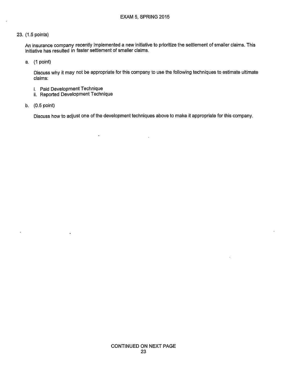An insurance company recently implemented a new initiative to prioritize the settlement of smaller claims. This initiative has resulted in faster settlement of smaller claims.

a. (1 point)

Discuss why it may not be appropriate for this company to use the following techniques to estimate ultimate claims:

i. Paid Development Technique

 $\ddot{\phantom{0}}$ 

ii. Reported Development Technique

 $\ddot{\phantom{0}}$ 

b.  $(0.5 \text{ point})$ 

 $\ddot{\phantom{a}}$ 

Discuss how to adjust one of the development techniques above to make it appropriate for this company.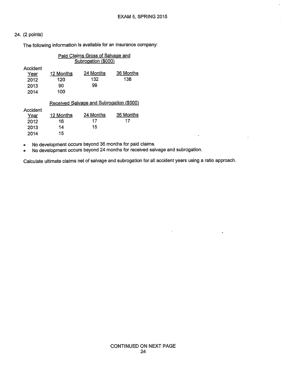The following information is available for an insurance company:

|                                          |                               | Paid Claims Gross of Salvage and<br>Subrogation (\$000) |                  |
|------------------------------------------|-------------------------------|---------------------------------------------------------|------------------|
| Accident<br>Year<br>2012<br>2013<br>2014 | 12 Months<br>120<br>90<br>100 | 24 Months<br>132<br>99                                  | 36 Months<br>138 |
|                                          |                               | Received Salvage and Subrogation (\$000)                |                  |
| Accident<br>Year<br>2012<br>2013<br>2014 | 12 Months<br>16<br>14<br>15   | 24 Months<br>17<br>15                                   | 36 Months<br>17  |

No development occurs beyond 36 months for paid claims.  $\bullet$ 

No development occurs beyond 24 months for received salvage and subrogation.  $\bullet$ 

Calculate ultimate claims net of salvage and subrogation for all accident years using a ratio approach.

 $\mathcal{A}^{\mathcal{A}}$ 

÷.

 $\mathbb{Z}^2$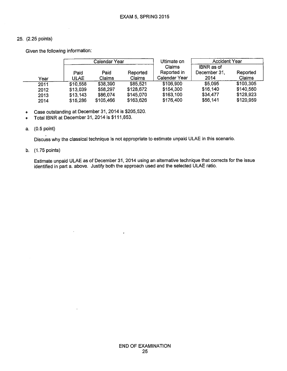Given the following information:

|      |              | Calendar Year  |                    | Ultimate on                            | <b>Accident Year</b>               |                    |
|------|--------------|----------------|--------------------|----------------------------------------|------------------------------------|--------------------|
| Year | Paid<br>ULAE | Paid<br>Claims | Reported<br>Claims | Claims<br>Reported in<br>Calendar Year | IBNR as of<br>December 31,<br>2014 | Reported<br>Claims |
| 2011 | \$10,558     | \$38,390       | \$85.521           | \$106,900                              | \$5,095                            | \$103,305          |
| 2012 | \$13,039     | \$58,297       | \$128,672          | \$154,300                              | \$16,140                           | \$140,560          |
| 2013 | \$13,143     | \$86,074       | \$145,070          | \$163,100                              | \$34,477                           | \$128,923          |
| 2014 | \$15,286     | \$105,466      | \$163,626          | \$176,400                              | \$56,141                           | \$120,959          |

Case outstanding at December 31, 2014 is \$205,520.  $\bullet$ 

Total IBNR at December 31, 2014 is \$111,853.  $\bullet$ 

#### a. (0.5 point)

Discuss why the classical technique is not appropriate to estimate unpaid ULAE in this scenario.

b. (1.75 points)

Estimate unpaid ULAE as of December 31, 2014 using an alternative technique that corrects for the issue identified in part a. above. Justify both the approach used and the selected ULAE ratio.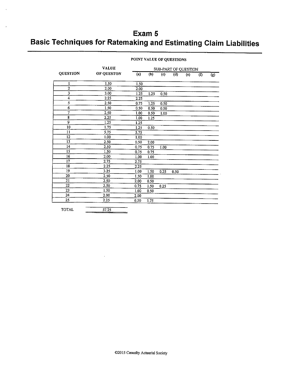# Exam 5 **Basic Techniques for Ratemaking and Estimating Claim Liabilities**

|  | POINT VALUE OF QUESTIONS |
|--|--------------------------|
|  |                          |

| <b>QUESTION</b>          | <b>VALUE</b><br>OF QUESTON |      | SUB-PART OF QUESTION |      |                |     |           |     |  |  |
|--------------------------|----------------------------|------|----------------------|------|----------------|-----|-----------|-----|--|--|
|                          |                            | (a)  | (b)                  | (c)  | $\overline{d}$ | (e) | $($ f $)$ | (g) |  |  |
| 1                        | 1.50                       | 1.50 |                      |      |                |     |           |     |  |  |
| $\mathbf{2}$             | 2.00                       | 2.00 |                      |      |                |     |           |     |  |  |
| $\overline{\mathbf{3}}$  | 3.00                       | 1.25 | 1.25                 | 0.50 |                |     |           |     |  |  |
| 4                        | 2.25                       | 2.25 |                      |      |                |     |           |     |  |  |
| 5                        | 2.50                       | 0.75 | 1,25                 | 0.50 |                |     |           |     |  |  |
| 6                        | 1.50                       | 0.50 | 0.50                 | 0.50 |                |     |           |     |  |  |
| $\overline{\mathcal{I}}$ | 2.50                       | 1.00 | 0.50                 | 1.00 |                |     |           |     |  |  |
| 8                        | 2.25                       | 1.00 | 1.25                 |      |                |     |           |     |  |  |
| 9                        | 1.25                       | 1.25 |                      |      |                |     |           |     |  |  |
| 10                       | 1.75                       | 1.25 | 0.50                 |      |                |     |           |     |  |  |
| 11                       | 5.75                       | 5.75 |                      |      |                |     |           |     |  |  |
| 12                       | 1.00                       | 1.00 |                      |      |                |     |           |     |  |  |
| 13                       | 2.50                       | 0.50 | 2.00                 |      |                |     |           |     |  |  |
| 14                       | 2.50                       | 0.75 | 0.75                 | 1.00 |                |     |           |     |  |  |
| $\overline{15}$          | 1.50                       | 0.75 | 0.75                 |      |                |     |           |     |  |  |
| 16                       | 2.00                       | 1.00 | 1.00                 |      |                |     |           |     |  |  |
| 17                       | 2.75                       | 2.75 |                      |      |                |     |           |     |  |  |
| 18                       | 2.25                       | 2.25 |                      |      |                |     |           |     |  |  |
| 19                       | 3.25                       | 1.00 | 1.50                 | 0.25 | 0.50           |     |           |     |  |  |
| 20                       | 2.50                       | 1.50 | 1.00                 |      |                |     |           |     |  |  |
| 21                       | 2.50                       | 2.00 | 0.50                 |      |                |     |           |     |  |  |
| 22                       | 2.50                       | 0.75 | 1.50                 | 0.25 |                |     |           |     |  |  |
| 23                       | 1.50                       | 1.00 | 0.50                 |      |                |     |           |     |  |  |
| 24                       | 2.00                       | 2.00 |                      |      |                |     |           |     |  |  |
| 25                       | 2.25                       | 0.50 | 1.75                 |      |                |     |           |     |  |  |

**TOTAL** 

 $57.25$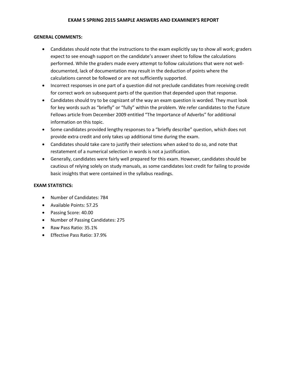#### **GENERAL COMMENTS:**

- Candidates should note that the instructions to the exam explicitly say to show all work; graders expect to see enough support on the candidate's answer sheet to follow the calculations performed. While the graders made every attempt to follow calculations that were not welldocumented, lack of documentation may result in the deduction of points where the calculations cannot be followed or are not sufficiently supported.
- Incorrect responses in one part of a question did not preclude candidates from receiving credit for correct work on subsequent parts of the question that depended upon that response.
- Candidates should try to be cognizant of the way an exam question is worded. They must look for key words such as "briefly" or "fully" within the problem. We refer candidates to the Future Fellows article from December 2009 entitled "The Importance of Adverbs" for additional information on this topic.
- Some candidates provided lengthy responses to a "briefly describe" question, which does not provide extra credit and only takes up additional time during the exam.
- Candidates should take care to justify their selections when asked to do so, and note that restatement of a numerical selection in words is not a justification.
- Generally, candidates were fairly well prepared for this exam. However, candidates should be cautious of relying solely on study manuals, as some candidates lost credit for failing to provide basic insights that were contained in the syllabus readings.

#### **EXAM STATISTICS:**

- Number of Candidates: 784
- Available Points: 57.25
- Passing Score: 40.00
- Number of Passing Candidates: 275
- Raw Pass Ratio: 35.1%
- Effective Pass Ratio: 37.9%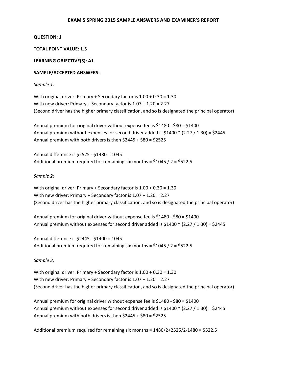#### **QUESTION: 1**

#### **TOTAL POINT VALUE: 1.5**

#### **LEARNING OBJECTIVE(S): A1**

#### **SAMPLE/ACCEPTED ANSWERS:**

*Sample 1:* 

With original driver: Primary + Secondary factor is 1.00 + 0.30 = 1.30 With new driver: Primary + Secondary factor is 1.07 + 1.20 = 2.27 (Second driver has the higher primary classification, and so is designated the principal operator)

Annual premium for original driver without expense fee is \$1480 - \$80 = \$1400 Annual premium without expenses for second driver added is  $$1400 * (2.27 / 1.30) = $2445$ Annual premium with both drivers is then \$2445 + \$80 = \$2525

Annual difference is \$2525 - \$1480 = 1045 Additional premium required for remaining six months = \$1045 / 2 = \$522.5

#### *Sample 2:*

With original driver: Primary + Secondary factor is 1.00 + 0.30 = 1.30 With new driver: Primary + Secondary factor is 1.07 + 1.20 = 2.27 (Second driver has the higher primary classification, and so is designated the principal operator)

Annual premium for original driver without expense fee is \$1480 - \$80 = \$1400 Annual premium without expenses for second driver added is \$1400 \* (2.27 / 1.30) = \$2445

Annual difference is \$2445 - \$1400 = 1045 Additional premium required for remaining six months =  $$1045 / 2 = $522.5$ 

*Sample 3:* 

With original driver: Primary + Secondary factor is 1.00 + 0.30 = 1.30 With new driver: Primary + Secondary factor is 1.07 + 1.20 = 2.27 (Second driver has the higher primary classification, and so is designated the principal operator)

Annual premium for original driver without expense fee is \$1480 - \$80 = \$1400 Annual premium without expenses for second driver added is \$1400 \* (2.27 / 1.30) = \$2445 Annual premium with both drivers is then \$2445 + \$80 = \$2525

Additional premium required for remaining six months = 1480/2+2525/2-1480 = \$522.5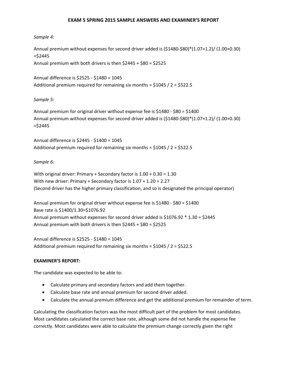#### *Sample 4:*

Annual premium without expenses for second driver added is (\$1480-\$80)\*(1.07+1.2)/ (1.00+0.30) =\$2445 Annual premium with both drivers is then \$2445 + \$80 = \$2525

Annual difference is \$2525 - \$1480 = 1045 Additional premium required for remaining six months = \$1045 / 2 = \$522.5

*Sample 5:* 

Annual premium for original driver without expense fee is \$1480 - \$80 = \$1400 Annual premium without expenses for second driver added is (\$1480-\$80)\*(1.07+1.2)/ (1.00+0.30) =\$2445

Annual difference is \$2445 - \$1400 = 1045 Additional premium required for remaining six months = \$1045 / 2 = \$522.5

#### *Sample 6:*

With original driver: Primary + Secondary factor is 1.00 + 0.30 = 1.30 With new driver: Primary + Secondary factor is 1.07 + 1.20 = 2.27 (Second driver has the higher primary classification, and so is designated the principal operator)

Annual premium for original driver without expense fee is \$1480 - \$80 = \$1400 Base rate is \$1400/1.30=\$1076.92 Annual premium without expenses for second driver added is \$1076.92 \* 1.30 = \$2445 Annual premium with both drivers is then \$2445 + \$80 = \$2525

Annual difference is \$2525 - \$1480 = 1045 Additional premium required for remaining six months = \$1045 / 2 = \$522.5

#### **EXAMINER'S REPORT:**

The candidate was expected to be able to:

- Calculate primary and secondary factors and add them together.
- Calculate base rate and annual premium for second driver added.
- Calculate the annual premium difference and get the additional premium for remainder of term.

Calculating the classification factors was the most difficult part of the problem for most candidates. Most candidates calculated the correct base rate, although some did not handle the expense fee correctly. Most candidates were able to calculate the premium change correctly given the right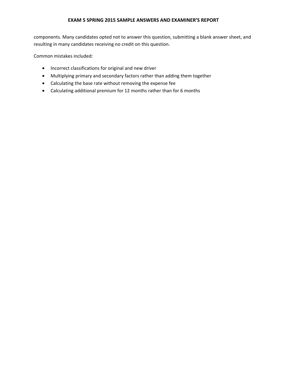components. Many candidates opted not to answer this question, submitting a blank answer sheet, and resulting in many candidates receiving no credit on this question.

Common mistakes included:

- Incorrect classifications for original and new driver
- Multiplying primary and secondary factors rather than adding them together
- Calculating the base rate without removing the expense fee
- Calculating additional premium for 12 months rather than for 6 months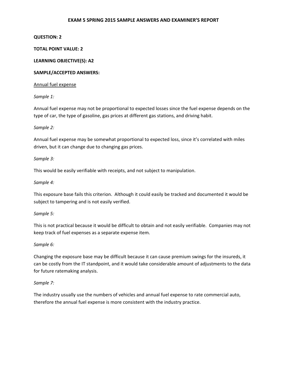#### **QUESTION: 2**

#### **TOTAL POINT VALUE: 2**

#### **LEARNING OBJECTIVE(S): A2**

#### **SAMPLE/ACCEPTED ANSWERS:**

#### Annual fuel expense

#### *Sample 1:*

Annual fuel expense may not be proportional to expected losses since the fuel expense depends on the type of car, the type of gasoline, gas prices at different gas stations, and driving habit.

#### *Sample 2:*

Annual fuel expense may be somewhat proportional to expected loss, since it's correlated with miles driven, but it can change due to changing gas prices.

#### *Sample 3:*

This would be easily verifiable with receipts, and not subject to manipulation.

#### *Sample 4:*

This exposure base fails this criterion. Although it could easily be tracked and documented it would be subject to tampering and is not easily verified.

#### *Sample 5:*

This is not practical because it would be difficult to obtain and not easily verifiable. Companies may not keep track of fuel expenses as a separate expense item.

#### *Sample 6:*

Changing the exposure base may be difficult because it can cause premium swings for the insureds, it can be costly from the IT standpoint, and it would take considerable amount of adjustments to the data for future ratemaking analysis.

#### *Sample 7:*

The industry usually use the numbers of vehicles and annual fuel expense to rate commercial auto, therefore the annual fuel expense is more consistent with the industry practice.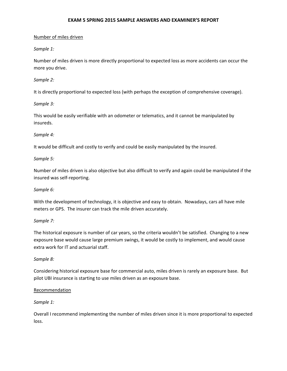#### Number of miles driven

#### *Sample 1:*

Number of miles driven is more directly proportional to expected loss as more accidents can occur the more you drive.

#### *Sample 2:*

It is directly proportional to expected loss (with perhaps the exception of comprehensive coverage).

#### *Sample 3:*

This would be easily verifiable with an odometer or telematics, and it cannot be manipulated by insureds.

#### *Sample 4:*

It would be difficult and costly to verify and could be easily manipulated by the insured.

#### *Sample 5:*

Number of miles driven is also objective but also difficult to verify and again could be manipulated if the insured was self-reporting.

#### *Sample 6:*

With the development of technology, it is objective and easy to obtain. Nowadays, cars all have mile meters or GPS. The insurer can track the mile driven accurately.

#### *Sample 7:*

The historical exposure is number of car years, so the criteria wouldn't be satisfied. Changing to a new exposure base would cause large premium swings, it would be costly to implement, and would cause extra work for IT and actuarial staff.

#### *Sample 8:*

Considering historical exposure base for commercial auto, miles driven is rarely an exposure base. But pilot UBI insurance is starting to use miles driven as an exposure base.

#### Recommendation

#### *Sample 1:*

Overall I recommend implementing the number of miles driven since it is more proportional to expected loss.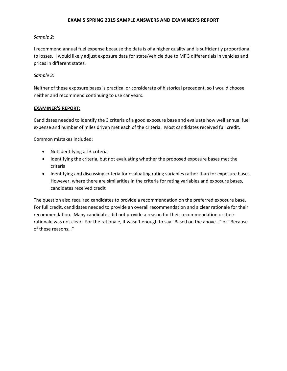#### *Sample 2:*

I recommend annual fuel expense because the data is of a higher quality and is sufficiently proportional to losses. I would likely adjust exposure data for state/vehicle due to MPG differentials in vehicles and prices in different states.

#### *Sample 3:*

Neither of these exposure bases is practical or considerate of historical precedent, so I would choose neither and recommend continuing to use car years.

#### **EXAMINER'S REPORT:**

Candidates needed to identify the 3 criteria of a good exposure base and evaluate how well annual fuel expense and number of miles driven met each of the criteria. Most candidates received full credit.

Common mistakes included:

- Not identifying all 3 criteria
- Identifying the criteria, but not evaluating whether the proposed exposure bases met the criteria
- Identifying and discussing criteria for evaluating rating variables rather than for exposure bases. However, where there are similarities in the criteria for rating variables and exposure bases, candidates received credit

The question also required candidates to provide a recommendation on the preferred exposure base. For full credit, candidates needed to provide an overall recommendation and a clear rationale for their recommendation. Many candidates did not provide a reason for their recommendation or their rationale was not clear. For the rationale, it wasn't enough to say "Based on the above…" or "Because of these reasons…"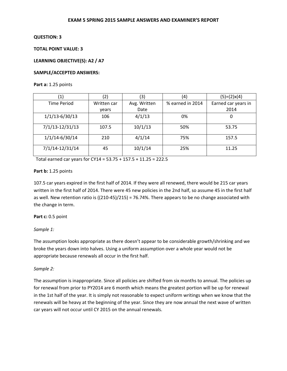# **TOTAL POINT VALUE: 3**

# **LEARNING OBJECTIVE(S): A2 / A7**

# **SAMPLE/ACCEPTED ANSWERS:**

#### **Part a:** 1.25 points

| (1)                | (2)         | (3)          | (4)              | $(5)=(2)x(4)$       |
|--------------------|-------------|--------------|------------------|---------------------|
| <b>Time Period</b> | Written car | Avg. Written | % earned in 2014 | Earned car years in |
|                    | years       | Date         |                  | 2014                |
| $1/1/13 - 6/30/13$ | 106         | 4/1/13       | 0%               | 0                   |
| 7/1/13-12/31/13    | 107.5       | 10/1/13      | 50%              | 53.75               |
| $1/1/14 - 6/30/14$ | 210         | 4/1/14       | 75%              | 157.5               |
| 7/1/14-12/31/14    | 45          | 10/1/14      | 25%              | 11.25               |

Total earned car years for CY14 = 53.75 + 157.5 + 11.25 = 222.5

# **Part b:** 1.25 points

107.5 car years expired in the first half of 2014. If they were all renewed, there would be 215 car years written in the first half of 2014. There were 45 new policies in the 2nd half, so assume 45 in the first half as well. New retention ratio is ((210-45)/215) = 76.74%. There appears to be no change associated with the change in term.

# **Part c:** 0.5 point

# *Sample 1:*

The assumption looks appropriate as there doesn't appear to be considerable growth/shrinking and we broke the years down into halves. Using a uniform assumption over a whole year would not be appropriate because renewals all occur in the first half.

# *Sample 2:*

The assumption is inappropriate. Since all policies are shifted from six months to annual. The policies up for renewal from prior to PY2014 are 6 month which means the greatest portion will be up for renewal in the 1st half of the year. It is simply not reasonable to expect uniform writings when we know that the renewals will be heavy at the beginning of the year. Since they are now annual the next wave of written car years will not occur until CY 2015 on the annual renewals.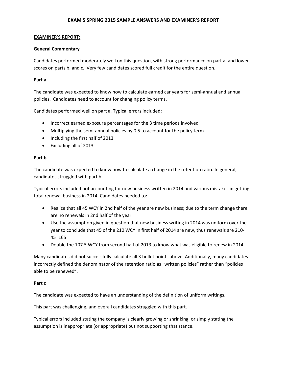### **EXAMINER'S REPORT:**

### **General Commentary**

Candidates performed moderately well on this question, with strong performance on part a. and lower scores on parts b. and c. Very few candidates scored full credit for the entire question.

### **Part a**

The candidate was expected to know how to calculate earned car years for semi-annual and annual policies. Candidates need to account for changing policy terms.

Candidates performed well on part a. Typical errors included:

- Incorrect earned exposure percentages for the 3 time periods involved
- Multiplying the semi-annual policies by 0.5 to account for the policy term
- Including the first half of 2013
- Excluding all of 2013

### **Part b**

The candidate was expected to know how to calculate a change in the retention ratio. In general, candidates struggled with part b.

Typical errors included not accounting for new business written in 2014 and various mistakes in getting total renewal business in 2014. Candidates needed to:

- Realize that all 45 WCY in 2nd half of the year are new business; due to the term change there are no renewals in 2nd half of the year
- Use the assumption given in question that new business writing in 2014 was uniform over the year to conclude that 45 of the 210 WCY in first half of 2014 are new, thus renewals are 210- 45=165
- Double the 107.5 WCY from second half of 2013 to know what was eligible to renew in 2014

Many candidates did not successfully calculate all 3 bullet points above. Additionally, many candidates incorrectly defined the denominator of the retention ratio as "written policies" rather than "policies able to be renewed".

# **Part c**

The candidate was expected to have an understanding of the definition of uniform writings.

This part was challenging, and overall candidates struggled with this part.

Typical errors included stating the company is clearly growing or shrinking, or simply stating the assumption is inappropriate (or appropriate) but not supporting that stance.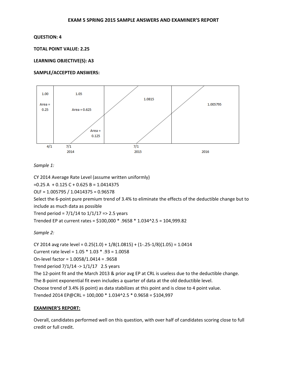**TOTAL POINT VALUE: 2.25** 

#### **LEARNING OBJECTIVE(S): A3**

#### **SAMPLE/ACCEPTED ANSWERS:**



# *Sample 1:*

CY 2014 Average Rate Level (assume written uniformly)  $=0.25 A + 0.125 C + 0.625 B = 1.0414375$ OLF = 1.005795 / 1.0414375 = 0.96578 Select the 6-point pure premium trend of 3.4% to eliminate the effects of the deductible change but to include as much data as possible Trend period =  $7/1/14$  to  $1/1/17$  => 2.5 years Trended EP at current rates = \$100,000 \* .9658 \* 1.034^2.5 = 104,999.82

# *Sample 2:*

CY 2014 avg rate level =  $0.25(1.0) + 1/8(1.0815) + (1-.25-1/8)(1.05) = 1.0414$ Current rate level = 1.05 \* 1.03 \* .93 = 1.0058 On-level factor = 1.0058/1.0414 = .9658 Trend period  $7/1/14 \rightarrow 1/1/17$  2.5 years The 12-point fit and the March 2013 & prior avg EP at CRL is useless due to the deductible change. The 8-point exponential fit even includes a quarter of data at the old deductible level. Choose trend of 3.4% (6 point) as data stabilizes at this point and is close to 4 point value. Trended 2014 EP@CRL = 100,000 \* 1.034^2.5 \* 0.9658 = \$104,997

#### **EXAMINER'S REPORT:**

Overall, candidates performed well on this question, with over half of candidates scoring close to full credit or full credit.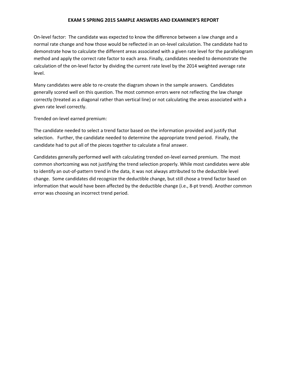On-level factor: The candidate was expected to know the difference between a law change and a normal rate change and how those would be reflected in an on-level calculation. The candidate had to demonstrate how to calculate the different areas associated with a given rate level for the parallelogram method and apply the correct rate factor to each area. Finally, candidates needed to demonstrate the calculation of the on-level factor by dividing the current rate level by the 2014 weighted average rate level.

Many candidates were able to re-create the diagram shown in the sample answers.Candidates generally scored well on this question. The most common errors were not reflecting the law change correctly (treated as a diagonal rather than vertical line) or not calculating the areas associated with a given rate level correctly.

Trended on-level earned premium:

The candidate needed to select a trend factor based on the information provided and justify that selection. Further, the candidate needed to determine the appropriate trend period. Finally, the candidate had to put all of the pieces together to calculate a final answer.

Candidates generally performed well with calculating trended on-level earned premium. The most common shortcoming was not justifying the trend selection properly. While most candidates were able to identify an out-of-pattern trend in the data, it was not always attributed to the deductible level change. Some candidates did recognize the deductible change, but still chose a trend factor based on information that would have been affected by the deductible change (i.e., 8-pt trend). Another common error was choosing an incorrect trend period.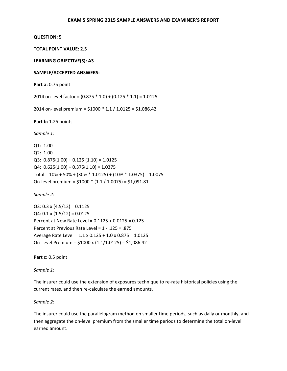**TOTAL POINT VALUE: 2.5** 

**LEARNING OBJECTIVE(S): A3** 

#### **SAMPLE/ACCEPTED ANSWERS:**

**Part a:** 0.75 point

2014 on-level factor = (0.875 \* 1.0) + (0.125 \* 1.1) = 1.0125

2014 on-level premium = \$1000 \* 1.1 / 1.0125 = \$1,086.42

**Part b:** 1.25 points

*Sample 1:* 

Q1: 1.00 Q2: 1.00 Q3:  $0.875(1.00) + 0.125(1.10) = 1.0125$  $Q4: 0.625(1.00) + 0.375(1.10) = 1.0375$ Total = 10% + 50% + (30% \* 1.0125) + (10% \* 1.0375) = 1.0075 On-level premium = \$1000 \* (1.1 / 1.0075) = \$1,091.81

*Sample 2:* 

 $Q3: 0.3 \times (4.5/12) = 0.1125$  $Q4: 0.1 \times (1.5/12) = 0.0125$ Percent at New Rate Level = 0.1125 + 0.0125 = 0.125 Percent at Previous Rate Level = 1 - .125 = .875 Average Rate Level = 1.1 x 0.125 + 1.0 x 0.875 = 1.0125 On-Level Premium = \$1000 x (1.1/1.0125) = \$1,086.42

**Part c:** 0.5 point

*Sample 1:* 

The insurer could use the extension of exposures technique to re-rate historical policies using the current rates, and then re-calculate the earned amounts.

#### *Sample 2:*

The insurer could use the parallelogram method on smaller time periods, such as daily or monthly, and then aggregate the on-level premium from the smaller time periods to determine the total on-level earned amount.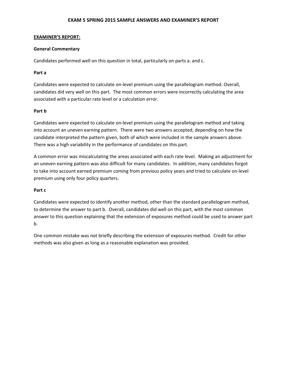#### **EXAMINER'S REPORT:**

### **General Commentary**

Candidates performed well on this question in total, particularly on parts a. and c.

### **Part a**

Candidates were expected to calculate on-level premium using the parallelogram method. Overall, candidates did very well on this part. The most common errors were incorrectly calculating the area associated with a particular rate level or a calculation error.

### **Part b**

Candidates were expected to calculate on-level premium using the parallelogram method and taking into account an uneven earning pattern. There were two answers accepted, depending on how the candidate interpreted the pattern given, both of which were included in the sample answers above. There was a high variability in the performance of candidates on this part.

A common error was miscalculating the areas associated with each rate level. Making an adjustment for an uneven earning pattern was also difficult for many candidates. In addition, many candidates forgot to take into account earned premium coming from previous policy years and tried to calculate on-level premium using only four policy quarters.

#### **Part c**

Candidates were expected to identify another method, other than the standard parallelogram method, to determine the answer to part b. Overall, candidates did well on this part, with the most common answer to this question explaining that the extension of exposures method could be used to answer part b.

One common mistake was not briefly describing the extension of exposures method. Credit for other methods was also given as long as a reasonable explanation was provided.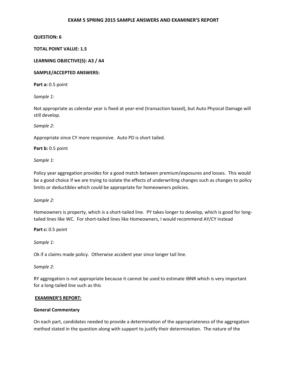### **QUESTION: 6**

### **TOTAL POINT VALUE: 1.5**

### **LEARNING OBJECTIVE(S): A3 / A4**

### **SAMPLE/ACCEPTED ANSWERS:**

**Part a:** 0.5 point

*Sample 1:* 

Not appropriate as calendar year is fixed at year-end (transaction based), but Auto Physical Damage will still develop.

*Sample 2:* 

Appropriate since CY more responsive. Auto PD is short tailed.

**Part b:** 0.5 point

*Sample 1:* 

Policy year aggregation provides for a good match between premium/exposures and losses. This would be a good choice if we are trying to isolate the effects of underwriting changes such as changes to policy limits or deductibles which could be appropriate for homeowners policies.

*Sample 2:* 

Homeowners is property, which is a short-tailed line. PY takes longer to develop, which is good for longtailed lines like WC. For short-tailed lines like Homeowners, I would recommend AY/CY instead

**Part c:** 0.5 point

*Sample 1:* 

Ok if a claims made policy. Otherwise accident year since longer tail line.

*Sample 2:* 

RY aggregation is not appropriate because it cannot be used to estimate IBNR which is very important for a long-tailed line such as this

#### **EXAMINER'S REPORT:**

#### **General Commentary**

On each part, candidates needed to provide a determination of the appropriateness of the aggregation method stated in the question along with support to justify their determination. The nature of the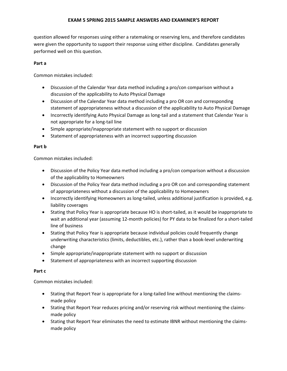question allowed for responses using either a ratemaking or reserving lens, and therefore candidates were given the opportunity to support their response using either discipline. Candidates generally performed well on this question.

# **Part a**

Common mistakes included:

- Discussion of the Calendar Year data method including a pro/con comparison without a discussion of the applicability to Auto Physical Damage
- Discussion of the Calendar Year data method including a pro OR con and corresponding statement of appropriateness without a discussion of the applicability to Auto Physical Damage
- Incorrectly identifying Auto Physical Damage as long-tail and a statement that Calendar Year is not appropriate for a long-tail line
- Simple appropriate/inappropriate statement with no support or discussion
- Statement of appropriateness with an incorrect supporting discussion

# **Part b**

Common mistakes included:

- Discussion of the Policy Year data method including a pro/con comparison without a discussion of the applicability to Homeowners
- Discussion of the Policy Year data method including a pro OR con and corresponding statement of appropriateness without a discussion of the applicability to Homeowners
- Incorrectly identifying Homeowners as long-tailed, unless additional justification is provided, e.g. liability coverages
- Stating that Policy Year is appropriate because HO is short-tailed, as it would be inappropriate to wait an additional year (assuming 12-month policies) for PY data to be finalized for a short-tailed line of business
- Stating that Policy Year is appropriate because individual policies could frequently change underwriting characteristics (limits, deductibles, etc.), rather than a book-level underwriting change
- Simple appropriate/inappropriate statement with no support or discussion
- Statement of appropriateness with an incorrect supporting discussion

# **Part c**

Common mistakes included:

- Stating that Report Year is appropriate for a long-tailed line without mentioning the claimsmade policy
- Stating that Report Year reduces pricing and/or reserving risk without mentioning the claimsmade policy
- Stating that Report Year eliminates the need to estimate IBNR without mentioning the claimsmade policy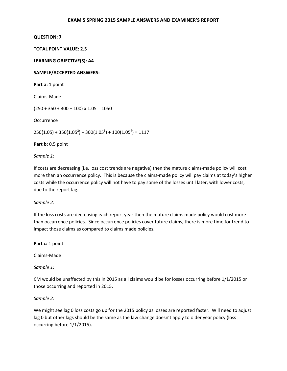**TOTAL POINT VALUE: 2.5** 

**LEARNING OBJECTIVE(S): A4** 

**SAMPLE/ACCEPTED ANSWERS:** 

Part a: 1 point

Claims-Made

 $(250 + 350 + 300 + 100) \times 1.05 = 1050$ 

**Occurrence** 

 $250(1.05) + 350(1.05^{2}) + 300(1.05^{3}) + 100(1.05^{4}) = 1117$ 

**Part b:** 0.5 point

*Sample 1:* 

If costs are decreasing (i.e. loss cost trends are negative) then the mature claims-made policy will cost more than an occurrence policy. This is because the claims-made policy will pay claims at today's higher costs while the occurrence policy will not have to pay some of the losses until later, with lower costs, due to the report lag.

*Sample 2:* 

If the loss costs are decreasing each report year then the mature claims made policy would cost more than occurrence policies. Since occurrence policies cover future claims, there is more time for trend to impact those claims as compared to claims made policies.

Part c: 1 point

Claims-Made

*Sample 1:* 

CM would be unaffected by this in 2015 as all claims would be for losses occurring before 1/1/2015 or those occurring and reported in 2015.

*Sample 2:* 

We might see lag 0 loss costs go up for the 2015 policy as losses are reported faster. Will need to adjust lag 0 but other lags should be the same as the law change doesn't apply to older year policy (loss occurring before 1/1/2015).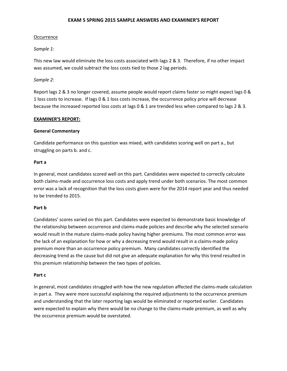# **Occurrence**

# *Sample 1:*

This new law would eliminate the loss costs associated with lags 2 & 3. Therefore, if no other impact was assumed, we could subtract the loss costs tied to those 2 lag periods.

# *Sample 2:*

Report lags 2 & 3 no longer covered, assume people would report claims faster so might expect lags 0 & 1 loss costs to increase. If lags 0 & 1 loss costs increase, the occurrence policy price will decrease because the increased reported loss costs at lags 0 & 1 are trended less when compared to lags 2 & 3.

# **EXAMINER'S REPORT:**

# **General Commentary**

Candidate performance on this question was mixed, with candidates scoring well on part a., but struggling on parts b. and c.

### **Part a**

In general, most candidates scored well on this part. Candidates were expected to correctly calculate both claims-made and occurrence loss costs and apply trend under both scenarios. The most common error was a lack of recognition that the loss costs given were for the 2014 report year and thus needed to be trended to 2015.

# **Part b**

Candidates' scores varied on this part. Candidates were expected to demonstrate basic knowledge of the relationship between occurrence and claims-made policies and describe why the selected scenario would result in the mature claims-made policy having higher premiums. The most common error was the lack of an explanation for how or why a decreasing trend would result in a claims-made policy premium more than an occurrence policy premium. Many candidates correctly identified the decreasing trend as the cause but did not give an adequate explanation for why this trend resulted in this premium relationship between the two types of policies.

#### **Part c**

In general, most candidates struggled with how the new regulation affected the claims-made calculation in part a. They were more successful explaining the required adjustments to the occurrence premium and understanding that the later reporting lags would be eliminated or reported earlier. Candidates were expected to explain why there would be no change to the claims-made premium, as well as why the occurrence premium would be overstated.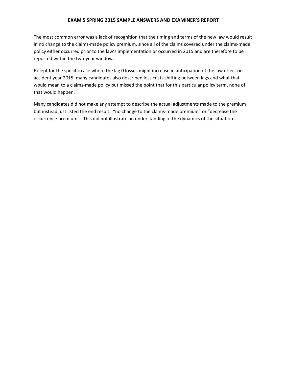The most common error was a lack of recognition that the timing and terms of the new law would result in no change to the claims-made policy premium, since all of the claims covered under the claims-made policy either occurred prior to the law's implementation or occurred in 2015 and are therefore to be reported within the two-year window.

Except for the specific case where the lag 0 losses might increase in anticipation of the law effect on accident year 2015, many candidates also described loss costs shifting between lags and what that would mean to a claims-made policy but missed the point that for this particular policy term, none of that would happen.

Many candidates did not make any attempt to describe the actual adjustments made to the premium but instead just listed the end result: "no change to the claims-made premium" or "decrease the occurrence premium". This did not illustrate an understanding of the dynamics of the situation.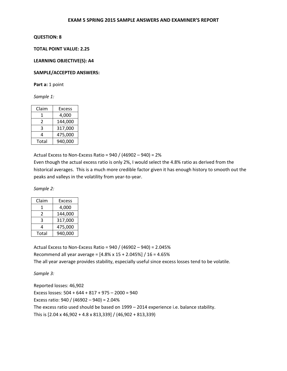# **TOTAL POINT VALUE: 2.25**

#### **LEARNING OBJECTIVE(S): A4**

### **SAMPLE/ACCEPTED ANSWERS:**

Part a: 1 point

*Sample 1:* 

| Claim | Excess  |
|-------|---------|
| 1     | 4,000   |
| 2     | 144,000 |
| 3     | 317,000 |
| 4     | 475,000 |
| Total | 940,000 |

Actual Excess to Non-Excess Ratio =  $940 / (46902 - 940) = 2%$ 

Even though the actual excess ratio is only 2%, I would select the 4.8% ratio as derived from the historical averages. This is a much more credible factor given it has enough history to smooth out the peaks and valleys in the volatility from year-to-year.

*Sample 2:* 

| Claim | <b>Excess</b> |
|-------|---------------|
| 1     | 4,000         |
| 2     | 144,000       |
| ς     | 317,000       |
| 4     | 475,000       |
| Total | 940,000       |

Actual Excess to Non-Excess Ratio = 940 / (46902 – 940) = 2.045% Recommend all year average = [4.8% x 15 + 2.045%] / 16 = 4.65% The all year average provides stability, especially useful since excess losses tend to be volatile.

*Sample 3:* 

Reported losses: 46,902 Excess losses: 504 + 644 + 817 + 975 – 2000 = 940 Excess ratio: 940 / (46902 – 940) = 2.04% The excess ratio used should be based on 1999 – 2014 experience i.e. balance stability. This is [2.04 x 46,902 + 4.8 x 813,339] / (46,902 + 813,339)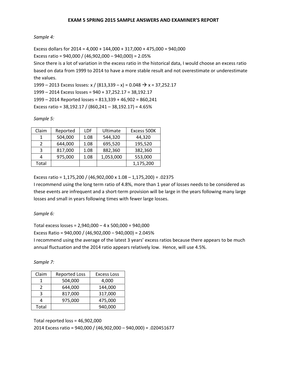# *Sample 4:*

Excess dollars for  $2014 = 4,000 + 144,000 + 317,000 + 475,000 = 940,000$ Excess ratio = 940,000 / (46,902,000 – 940,000) = 2.05%

Since there is a lot of variation in the excess ratio in the historical data, I would choose an excess ratio based on data from 1999 to 2014 to have a more stable result and not overestimate or underestimate the values.

1999 – 2013 Excess losses: x / (813,339 – x) = 0.048  $\rightarrow$  x = 37,252.17

1999 – 2014 Excess losses = 940 + 37,252.17 = 38,192.17

1999 – 2014 Reported losses = 813,339 + 46,902 = 860,241

Excess ratio = 38,192.17 / (860,241 – 38,192.17) = 4.65%

*Sample 5:* 

| Claim | Reported | LDF  | Ultimate  | Excess 500K |
|-------|----------|------|-----------|-------------|
|       | 504,000  | 1.08 | 544,320   | 44,320      |
|       | 644,000  | 1.08 | 695,520   | 195,520     |
|       | 817,000  | 1.08 | 882,360   | 382,360     |
|       | 975,000  | 1.08 | 1,053,000 | 553,000     |
| Total |          |      |           | 1,175,200   |

Excess ratio = 1,175,200 / (46,902,000 x 1.08 – 1,175,200) = .02375

I recommend using the long term ratio of 4.8%, more than 1 year of losses needs to be considered as these events are infrequent and a short-term provision will be large in the years following many large losses and small in years following times with fewer large losses.

*Sample 6:* 

Total excess losses = 2,940,000 – 4 x 500,000 = 940,000 Excess Ratio = 940,000 / (46,902,000 – 940,000) = 2.045%

I recommend using the average of the latest 3 years' excess ratios because there appears to be much annual fluctuation and the 2014 ratio appears relatively low. Hence, will use 4.5%.

*Sample 7:* 

| Claim | <b>Reported Loss</b> | <b>Excess Loss</b> |
|-------|----------------------|--------------------|
|       | 504,000              | 4,000              |
| 7     | 644,000              | 144,000            |
| ঽ     | 817,000              | 317,000            |
|       | 975,000              | 475,000            |
| Total |                      | 940,000            |

Total reported loss = 46,902,000

2014 Excess ratio = 940,000 / (46,902,000 – 940,000) = .020451677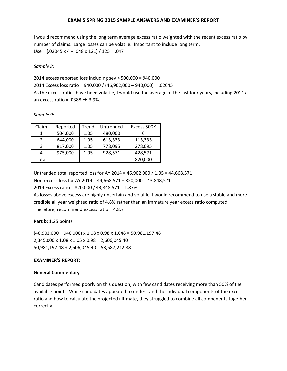I would recommend using the long term average excess ratio weighted with the recent excess ratio by number of claims. Large losses can be volatile. Important to include long term. Use = [.02045 x 4 + .048 x 121) / 125 = .047

*Sample 8:* 

2014 excess reported loss including sev > 500,000 = 940,000 2014 Excess loss ratio = 940,000 / (46,902,000 – 940,000) = .02045 As the excess ratios have been volatile, I would use the average of the last four years, including 2014 as an excess ratio = .0388  $\rightarrow$  3.9%.

*Sample 9:* 

| Claim         | Reported | Trend | Untrended | Excess 500K |
|---------------|----------|-------|-----------|-------------|
| 1             | 504,000  | 1.05  | 480,000   |             |
| $\mathcal{P}$ | 644,000  | 1.05  | 613,333   | 113,333     |
| 3             | 817,000  | 1.05  | 778,095   | 278,095     |
|               | 975,000  | 1.05  | 928,571   | 428,571     |
| Total         |          |       |           | 820,000     |

Untrended total reported loss for AY 2014 = 46,902,000 / 1.05 = 44,668,571

Non-excess loss for AY 2014 = 44,668,571 – 820,000 = 43,848,571

2014 Excess ratio = 820,000 / 43,848,571 = 1.87%

As losses above excess are highly uncertain and volatile, I would recommend to use a stable and more credible all year weighted ratio of 4.8% rather than an immature year excess ratio computed. Therefore, recommend excess ratio = 4.8%.

# **Part b:** 1.25 points

(46,902,000 – 940,000) x 1.08 x 0.98 x 1.048 = 50,981,197.48 2,345,000 x 1.08 x 1.05 x 0.98 = 2,606,045.40 50,981,197.48 + 2,606,045.40 = 53,587,242.88

# **EXAMINER'S REPORT:**

# **General Commentary**

Candidates performed poorly on this question, with few candidates receiving more than 50% of the available points. While candidates appeared to understand the individual components of the excess ratio and how to calculate the projected ultimate, they struggled to combine all components together correctly.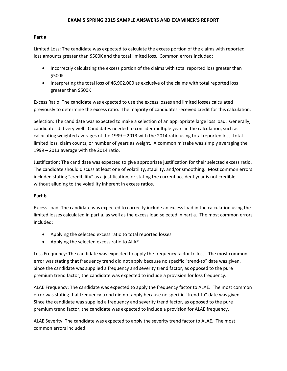### **Part a**

Limited Loss: The candidate was expected to calculate the excess portion of the claims with reported loss amounts greater than \$500K and the total limited loss. Common errors included:

- Incorrectly calculating the excess portion of the claims with total reported loss greater than \$500K
- Interpreting the total loss of 46,902,000 as exclusive of the claims with total reported loss greater than \$500K

Excess Ratio: The candidate was expected to use the excess losses and limited losses calculated previously to determine the excess ratio. The majority of candidates received credit for this calculation.

Selection: The candidate was expected to make a selection of an appropriate large loss load. Generally, candidates did very well. Candidates needed to consider multiple years in the calculation, such as calculating weighted averages of the 1999 – 2013 with the 2014 ratio using total reported loss, total limited loss, claim counts, or number of years as weight. A common mistake was simply averaging the 1999 – 2013 average with the 2014 ratio.

Justification: The candidate was expected to give appropriate justification for their selected excess ratio. The candidate should discuss at least one of volatility, stability, and/or smoothing. Most common errors included stating "credibility" as a justification, or stating the current accident year is not credible without alluding to the volatility inherent in excess ratios.

# **Part b**

Excess Load: The candidate was expected to correctly include an excess load in the calculation using the limited losses calculated in part a. as well as the excess load selected in part a. The most common errors included:

- Applying the selected excess ratio to total reported losses
- Applying the selected excess ratio to ALAE

Loss Frequency: The candidate was expected to apply the frequency factor to loss. The most common error was stating that frequency trend did not apply because no specific "trend-to" date was given. Since the candidate was supplied a frequency and severity trend factor, as opposed to the pure premium trend factor, the candidate was expected to include a provision for loss frequency.

ALAE Frequency: The candidate was expected to apply the frequency factor to ALAE. The most common error was stating that frequency trend did not apply because no specific "trend-to" date was given. Since the candidate was supplied a frequency and severity trend factor, as opposed to the pure premium trend factor, the candidate was expected to include a provision for ALAE frequency.

ALAE Severity: The candidate was expected to apply the severity trend factor to ALAE. The most common errors included: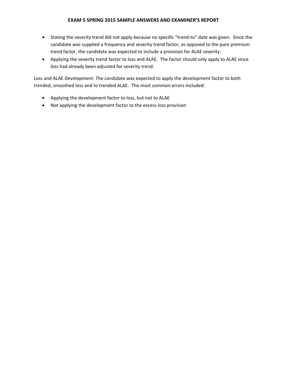- Stating the severity trend did not apply because no specific "trend-to" date was given. Since the candidate was supplied a frequency and severity trend factor, as opposed to the pure premium trend factor, the candidate was expected to include a provision for ALAE severity.
- Applying the severity trend factor to loss and ALAE. The factor should only apply to ALAE since loss had already been adjusted for severity trend.

Loss and ALAE Development: The candidate was expected to apply the development factor to both trended, smoothed loss and to trended ALAE. The most common errors included:

- Applying the development factor to loss, but not to ALAE
- Not applying the development factor to the excess loss provision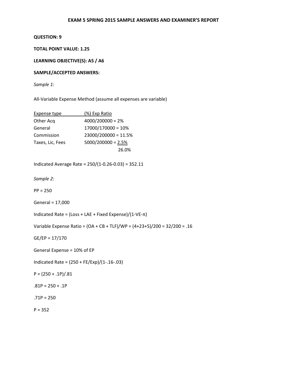# **TOTAL POINT VALUE: 1.25**

### **LEARNING OBJECTIVE(S): A5 / A6**

### **SAMPLE/ACCEPTED ANSWERS:**

*Sample 1:* 

All-Variable Expense Method (assume all expenses are variable)

| Expense type     | (%) Exp Ratio          |
|------------------|------------------------|
| Other Acq        | $4000/200000 = 2%$     |
| General          | $17000/170000 = 10%$   |
| Commission       | $23000/200000 = 11.5%$ |
| Taxes, Lic, Fees | $5000/200000 = 2.5%$   |
|                  | 26.0%                  |

Indicated Average Rate = 250/(1-0.26-0.03) = 352.11

*Sample 2:* 

PP = 250

General = 17,000

Indicated Rate = (Loss + LAE + Fixed Expense)/(1-VE-π)

Variable Expense Ratio = (OA + CB + TLF)/WP = (4+23+5)/200 = 32/200 = .16

GE/EP = 17/170

General Expense = 10% of EP

Indicated Rate = (250 + FE/Exp)/(1-.16-.03)

 $P = (250 + .1P)/.81$ 

 $.81P = 250 + .1P$ 

 $.71P = 250$ 

 $P = 352$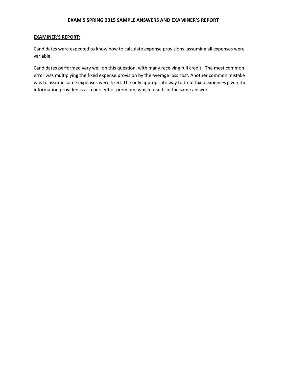#### **EXAMINER'S REPORT:**

Candidates were expected to know how to calculate expense provisions, assuming all expenses were variable.

Candidates performed very well on this question, with many receiving full credit. The most common error was multiplying the fixed expense provision by the average loss cost. Another common mistake was to assume some expenses were fixed. The only appropriate way to treat fixed expenses given the information provided is as a percent of premium, which results in the same answer.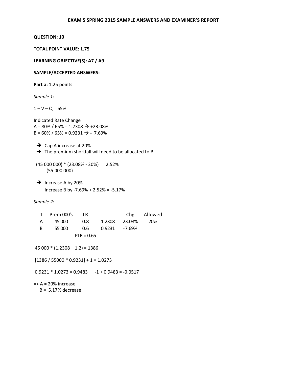### **TOTAL POINT VALUE: 1.75**

#### **LEARNING OBJECTIVE(S): A7 / A9**

### **SAMPLE/ACCEPTED ANSWERS:**

**Part a:** 1.25 points

*Sample 1:* 

 $1 - V - Q = 65%$ 

Indicated Rate Change A = 80% / 65% = 1.2308  $\rightarrow$  +23.08%  $B = 60\% / 65\% = 0.9231 \rightarrow .7.69\%$ 

 $\rightarrow$  Cap A increase at 20% The premium shortfall will need to be allocated to B

 $(45000000) * (23.08% - 20%) = 2.52%$ (55 000 000)

 $\rightarrow$  Increase A by 20% Increase B by -7.69% + 2.52% = -5.17%

#### *Sample 2:*

|    | T Prem 000's LR |              |                   | Chg Allowed |
|----|-----------------|--------------|-------------------|-------------|
| A  | 45 000 0.8      |              | 1.2308 23.08% 20% |             |
| B. | 55 000          |              |                   |             |
|    |                 | $PLR = 0.65$ |                   |             |

 $45000 * (1.2308 - 1.2) = 1386$ 

 $[1386 / 55000 * 0.9231] + 1 = 1.0273$ 

 $0.9231 * 1.0273 = 0.9483 -1 + 0.9483 = -0.0517$ 

 $\Rightarrow$  A = 20% increase

 $B = 5.17%$  decrease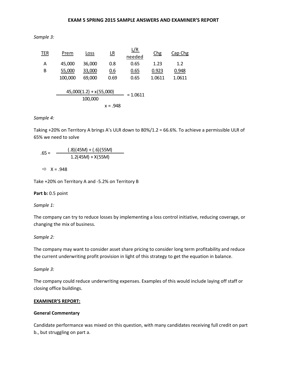*Sample 3:* 

| <b>TER</b> | Prem    | Loss                      | $\underline{\mathsf{LR}}$ | <u>L/R</u><br>needed | Chg    | Cap Chg |
|------------|---------|---------------------------|---------------------------|----------------------|--------|---------|
| Α          | 45,000  | 36,000                    | 0.8                       | 0.65                 | 1.23   | 1.2     |
| Β          | 55,000  | 33,000                    | 0.6                       | 0.65                 | 0.923  | 0.948   |
|            | 100,000 | 69,000                    | 0.69                      | 0.65                 | 1.0611 | 1.0611  |
|            |         | $45,000(1.2) + x(55,000)$ |                           | $= 1.0611$           |        |         |
|            |         | 100,000                   |                           |                      |        |         |
|            |         |                           | $x = .948$                |                      |        |         |

### *Sample 4:*

Taking +20% on Territory A brings A's ULR down to 80%/1.2 = 66.6%. To achieve a permissible ULR of 65% we need to solve

(.8)(45M) + (.6)(55M) 1.2(45M) + X(55M)  $.65 =$ 

 $\Rightarrow$  X = .948

Take +20% on Territory A and -5.2% on Territory B

**Part b: 0.5 point** 

*Sample 1:* 

The company can try to reduce losses by implementing a loss control initiative, reducing coverage, or changing the mix of business.

# *Sample 2:*

The company may want to consider asset share pricing to consider long term profitability and reduce the current underwriting profit provision in light of this strategy to get the equation in balance.

*Sample 3:* 

The company could reduce underwriting expenses. Examples of this would include laying off staff or closing office buildings.

# **EXAMINER'S REPORT:**

#### **General Commentary**

Candidate performance was mixed on this question, with many candidates receiving full credit on part b., but struggling on part a.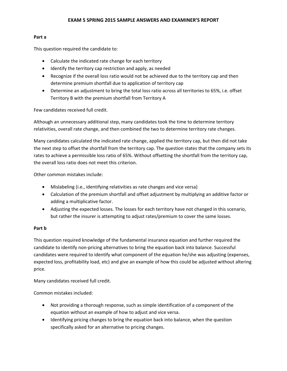# **Part a**

This question required the candidate to:

- Calculate the indicated rate change for each territory
- Identify the territory cap restriction and apply, as needed
- Recognize if the overall loss ratio would not be achieved due to the territory cap and then determine premium shortfall due to application of territory cap
- Determine an adjustment to bring the total loss ratio across all territories to 65%, i.e. offset Territory B with the premium shortfall from Territory A

Few candidates received full credit.

Although an unnecessary additional step, many candidates took the time to determine territory relativities, overall rate change, and then combined the two to determine territory rate changes.

Many candidates calculated the indicated rate change, applied the territory cap, but then did not take the next step to offset the shortfall from the territory cap. The question states that the company sets its rates to achieve a permissible loss ratio of 65%. Without offsetting the shortfall from the territory cap, the overall loss ratio does not meet this criterion.

Other common mistakes include:

- Mislabeling (i.e., identifying relativities as rate changes and vice versa)
- Calculation of the premium shortfall and offset adjustment by multiplying an additive factor or adding a multiplicative factor.
- Adjusting the expected losses. The losses for each territory have not changed in this scenario, but rather the insurer is attempting to adjust rates/premium to cover the same losses.

# **Part b**

This question required knowledge of the fundamental insurance equation and further required the candidate to identify non-pricing alternatives to bring the equation back into balance. Successful candidates were required to identify what component of the equation he/she was adjusting (expenses, expected loss, profitability load, etc) and give an example of how this could be adjusted without altering price.

Many candidates received full credit.

Common mistakes included:

- Not providing a thorough response, such as simple identification of a component of the equation without an example of how to adjust and vice versa.
- Identifying pricing changes to bring the equation back into balance, when the question specifically asked for an alternative to pricing changes.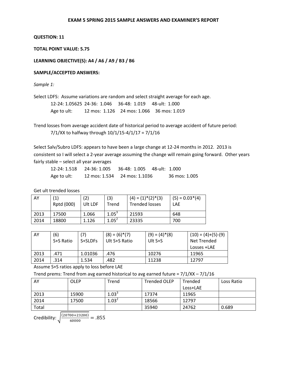# **TOTAL POINT VALUE: 5.75**

# **LEARNING OBJECTIVE(S): A4 / A6 / A9 / B3 / B6**

# **SAMPLE/ACCEPTED ANSWERS:**

*Sample 1:* 

Select LDFS: Assume variations are random and select straight average for each age.

|             | 12-24: 1.05625  24-36:  1.046     36-48:  1.019     48-ult:  1.000 |                                           |
|-------------|--------------------------------------------------------------------|-------------------------------------------|
| Age to ult: |                                                                    | 12 mos: 1.126 24 mos: 1.066 36 mos: 1.019 |

Trend losses from average accident date of historical period to average accident of future period: 7/1/XX to halfway through 10/1/15-4/1/17 = 7/1/16

Select Salv/Subro LDFS: appears to have been a large change at 12-24 months in 2012. 2013 is consistent so I will select a 2-year average assuming the change will remain going forward. Other years fairly stable – select all year averages

|             | 12-24: 1.518 24-36: 1.005 |                              |               |
|-------------|---------------------------|------------------------------|---------------|
| Age to ult: |                           | 12 mos: 1.534 24 mos: 1.1036 | 36 mos: 1.005 |

Get ult trended losses

| AY   | $\left( 1\right)$<br>Rptd (000) | '2)<br>Ult LDF | (3)<br>Trend | $(4) = (1) * (2) * (3)$<br><b>Trended losses</b> | $(5) = 0.03*(4)$<br><b>LAE</b> |
|------|---------------------------------|----------------|--------------|--------------------------------------------------|--------------------------------|
| 2013 | 17500                           | 1.066          | $1.05^{3}$   | 21593                                            | 648                            |
| 2014 | 18800                           | 1.126          | $1.05^2$     | 23335                                            | 700                            |

| AY   | (6)       |         | $(8) = (6) * (7)$ | $(9) = (4)^*(8)$ | $(10) = (4)+(5)-(9)$ |
|------|-----------|---------|-------------------|------------------|----------------------|
|      | S+S Ratio | S+SLDFs | Ult S+S Ratio     | Ult $S+S$        | Net Trended          |
|      |           |         |                   |                  | Losses +LAE          |
| 2013 | .471      | 1.01036 | .476              | 10276            | 11965                |
| 2014 | 314       | 1.534   | .482              | 11238            | 12797                |

Assume S+S ratios apply to loss before LAE

Trend prems: Trend from avg earned historical to avg earned future = 7/1/XX – 7/1/16

| AY    | OLEP  | Trend      | <b>Trended OLEP</b> | Trended  | Loss Ratio |
|-------|-------|------------|---------------------|----------|------------|
|       |       |            |                     | Loss+LAE |            |
| 2013  | 15900 | $1.03^{3}$ | 17374               | 11965    |            |
| 2014  | 17500 | $1.03^2$   | 18566               | 12797    |            |
| Total |       |            | 35940               | 24762    | 0.689      |

Credibility:  $\sqrt{\frac{(20700+23200)}{60000}} = .855$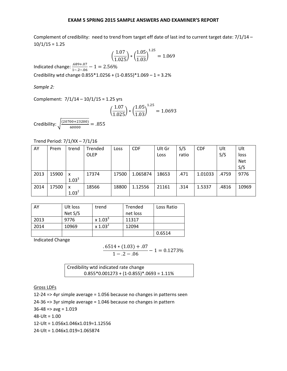Complement of credibility: need to trend from target eff date of last ind to current target date: 7/1/14 –  $10/1/15 = 1.25$ 

$$
\left(\frac{1.07}{1.025}\right) * \left(\frac{1.05}{1.03}\right)^{1.25} = 1.069
$$

Indicated change:  $\frac{.689+.07}{1-.2-.06} - 1 = 2.56\%$ Credibility wtd change  $0.855*1.0256 + (1-0.855)*1.069 - 1 = 3.2%$ 

*Sample 2:* 

Complement: 7/1/14 – 10/1/15 = 1.25 yrs

$$
\left(\frac{1.07}{1.025}\right) * \left(\frac{1.05}{1.03}\right)^{1.25} = 1.0693
$$

Credibility:  $\sqrt{\frac{(20700+23200)}{60000}} = .855$ 

Trend Period: 7/1/XX – 7/1/16

| AY   | Prem  | trend      | <b>Trended</b> | Loss  | <b>CDF</b> | Ult Gr | S/S   | <b>CDF</b> | Ult   | Ult        |
|------|-------|------------|----------------|-------|------------|--------|-------|------------|-------|------------|
|      |       |            | <b>OLEP</b>    |       |            | Loss   | ratio |            | S/S   | loss       |
|      |       |            |                |       |            |        |       |            |       | <b>Net</b> |
|      |       |            |                |       |            |        |       |            |       | S/S        |
| 2013 | 15900 | X          | 17374          | 17500 | 1.065874   | 18653  | .471  | 1.01033    | .4759 | 9776       |
|      |       | $1.03^{3}$ |                |       |            |        |       |            |       |            |
| 2014 | 17500 | X          | 18566          | 18800 | 1.12556    | 21161  | .314  | 1.5337     | .4816 | 10969      |
|      |       | $1.03^{2}$ |                |       |            |        |       |            |       |            |

| AY   | Ult loss | trend      | Trended  | Loss Ratio |
|------|----------|------------|----------|------------|
|      | Net S/S  |            | net loss |            |
| 2013 | 9776     | $x 1.03^3$ | 11317    |            |
| 2014 | 10969    | $x 1.03^2$ | 12094    |            |
|      |          |            |          | 0.6514     |

Indicated Change

 $.6514 * (1.03) + .07$  $\frac{(1.273\%)}{1-.2-.06} - 1 = 0.1273\%$ 

| Credibility wtd indicated rate change      |  |
|--------------------------------------------|--|
| $0.855*0.001273 + (1-0.855)*0.693 = 1.11%$ |  |

Gross LDFs

12-24 => 4yr simple average = 1.056 because no changes in patterns seen

24-36 => 3yr simple average = 1.046 because no changes in pattern

 $36-48 \Rightarrow avg = 1.019$ 

48-Ult = 1.00

12-Ult = 1.056x1.046x1.019=1.12556

24-Ult = 1.046x1.019=1.065874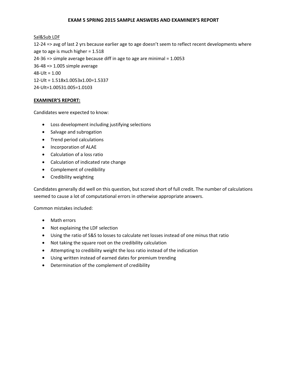### Sal&Sub LDF

12-24 => avg of last 2 yrs because earlier age to age doesn't seem to reflect recent developments where age to age is much higher = 1.518 24-36 => simple average because diff in age to age are minimal = 1.0053 36-48 => 1.005 simple average  $48 - UIt = 1.00$ 12-Ult = 1.518x1.0053x1.00=1.5337 24-Ult=1.00531.005=1.0103

### **EXAMINER'S REPORT:**

Candidates were expected to know:

- Loss development including justifying selections
- Salvage and subrogation
- Trend period calculations
- Incorporation of ALAE
- Calculation of a loss ratio
- Calculation of indicated rate change
- Complement of credibility
- Credibility weighting

Candidates generally did well on this question, but scored short of full credit. The number of calculations seemed to cause a lot of computational errors in otherwise appropriate answers.

Common mistakes included:

- Math errors
- Not explaining the LDF selection
- Using the ratio of S&S to losses to calculate net losses instead of one minus that ratio
- Not taking the square root on the credibility calculation
- Attempting to credibility weight the loss ratio instead of the indication
- Using written instead of earned dates for premium trending
- Determination of the complement of credibility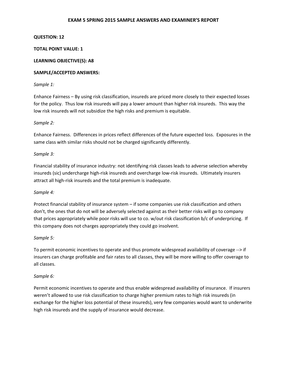### **QUESTION: 12**

### **TOTAL POINT VALUE: 1**

### **LEARNING OBJECTIVE(S): A8**

### **SAMPLE/ACCEPTED ANSWERS:**

### *Sample 1:*

Enhance Fairness – By using risk classification, insureds are priced more closely to their expected losses for the policy. Thus low risk insureds will pay a lower amount than higher risk insureds. This way the low risk insureds will not subsidize the high risks and premium is equitable.

### *Sample 2:*

Enhance Fairness. Differences in prices reflect differences of the future expected loss. Exposures in the same class with similar risks should not be charged significantly differently.

### *Sample 3:*

Financial stability of insurance industry: not identifying risk classes leads to adverse selection whereby insureds (sic) undercharge high-risk insureds and overcharge low-risk insureds. Ultimately insurers attract all high-risk insureds and the total premium is inadequate.

#### *Sample 4:*

Protect financial stability of insurance system – if some companies use risk classification and others don't, the ones that do not will be adversely selected against as their better risks will go to company that prices appropriately while poor risks will use to co. w/out risk classification b/c of underpricing. If this company does not charges appropriately they could go insolvent.

#### *Sample 5:*

To permit economic incentives to operate and thus promote widespread availability of coverage --> if insurers can charge profitable and fair rates to all classes, they will be more willing to offer coverage to all classes.

# *Sample 6:*

Permit economic incentives to operate and thus enable widespread availability of insurance. If insurers weren't allowed to use risk classification to charge higher premium rates to high risk insureds (in exchange for the higher loss potential of these insureds), very few companies would want to underwrite high risk insureds and the supply of insurance would decrease.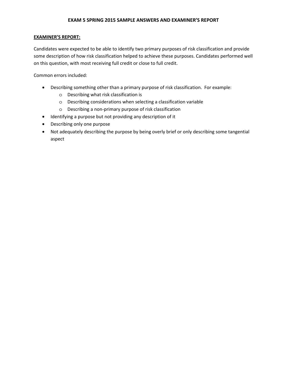# **EXAMINER'S REPORT:**

Candidates were expected to be able to identify two primary purposes of risk classification and provide some description of how risk classification helped to achieve these purposes. Candidates performed well on this question, with most receiving full credit or close to full credit.

Common errors included:

- Describing something other than a primary purpose of risk classification. For example:
	- o Describing what risk classification is
	- o Describing considerations when selecting a classification variable
	- o Describing a non-primary purpose of risk classification
- Identifying a purpose but not providing any description of it
- Describing only one purpose
- Not adequately describing the purpose by being overly brief or only describing some tangential aspect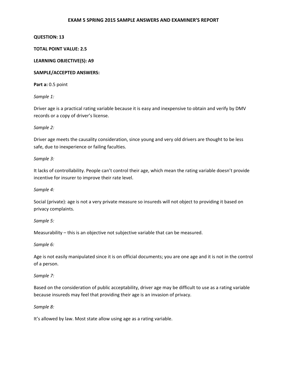### **QUESTION: 13**

# **TOTAL POINT VALUE: 2.5**

### **LEARNING OBJECTIVE(S): A9**

### **SAMPLE/ACCEPTED ANSWERS:**

**Part a:** 0.5 point

*Sample 1:* 

Driver age is a practical rating variable because it is easy and inexpensive to obtain and verify by DMV records or a copy of driver's license.

### *Sample 2:*

Driver age meets the causality consideration, since young and very old drivers are thought to be less safe, due to inexperience or failing faculties.

### *Sample 3:*

It lacks of controllability. People can't control their age, which mean the rating variable doesn't provide incentive for insurer to improve their rate level.

# *Sample 4:*

Social (private): age is not a very private measure so insureds will not object to providing it based on privacy complaints.

# *Sample 5:*

Measurability – this is an objective not subjective variable that can be measured.

#### *Sample 6:*

Age is not easily manipulated since it is on official documents; you are one age and it is not in the control of a person.

# *Sample 7:*

Based on the consideration of public acceptability, driver age may be difficult to use as a rating variable because insureds may feel that providing their age is an invasion of privacy.

#### *Sample 8:*

It's allowed by law. Most state allow using age as a rating variable.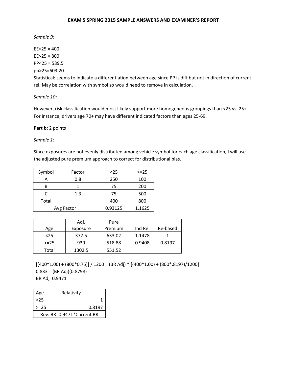*Sample 9:* 

 $EE < 25 = 400$  $EE>25 = 800$  $PP < 25 = 589.5$ pp>25=603.20

Statistical: seems to indicate a differentiation between age since PP is diff but not in direction of current rel. May be correlation with symbol so would need to remove in calculation.

*Sample 10:* 

However, risk classification would most likely support more homogeneous groupings than <25 vs. 25+ For instance, drivers age 70+ may have different indicated factors than ages 25-69.

Part b: 2 points

*Sample 1:* 

Since exposures are not evenly distributed among vehicle symbol for each age classification, I will use the adjusted pure premium approach to correct for distributional bias.

| Symbol | Factor     | $25$    | $>=25$ |
|--------|------------|---------|--------|
| A      | 0.8        | 250     | 100    |
| B      |            | 75      | 200    |
|        | 1.3        | 75      | 500    |
| Total  |            | 400     | 800    |
|        | Avg Factor | 0.93125 | 1.1625 |

|          | Adj.     | Pure    |         |          |
|----------|----------|---------|---------|----------|
| Age      | Exposure | Premium | Ind Rel | Re-based |
| $25$     | 372.5    | 633.02  | 1.1478  |          |
| $> = 25$ | 930      | 518.88  | 0.9408  | 0.8197   |
| Total    | 1302.5   | 551.52  |         |          |

 $[(400 * 1.00) + (800 * 0.75)] / 1200 = (BR Adj) * [(400 * 1.00) + (800 * .8197) / 1200]$  $0.833 = (BR \text{ Adj})(0.8798)$ BR Adj=0.9471

| Age                       | Relativity |  |  |  |
|---------------------------|------------|--|--|--|
| <25                       |            |  |  |  |
| $> = 25$                  | 0.8197     |  |  |  |
| Rev. BR=0.9471*Current BR |            |  |  |  |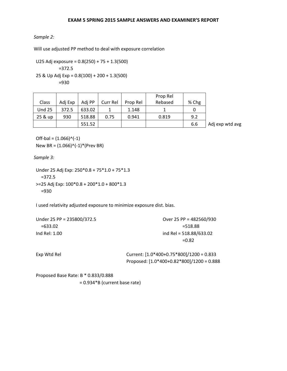### *Sample 2:*

Will use adjusted PP method to deal with exposure correlation

U25 Adj exposure = 0.8(250) + 75 + 1.3(500) =372.5 25 & Up Adj Exp = 0.8(100) + 200 + 1.3(500) =930

|               |         |        |          |          | Prop Rel |       |                 |
|---------------|---------|--------|----------|----------|----------|-------|-----------------|
| Class         | Adj Exp | Adi PP | Curr Rel | Prop Rel | Rebased  | % Chg |                 |
| <b>Und 25</b> | 372.5   | 633.02 |          | 1.148    |          |       |                 |
| 25 & up       | 930     | 518.88 | 0.75     | 0.941    | 0.819    | 9.2   |                 |
|               |         | 551.52 |          |          |          | 6.6   | Adj exp wtd avg |

 $Off$ -bal =  $(1.066)^{\wedge}(-1)$ New BR =  $(1.066)^(-1)^*$ (Prev BR)

*Sample 3:* 

```
Under 25 Adj Exp: 250*0.8 + 75*1.0 + 75*1.3 
  =372.5 
>=25 Adj Exp: 100*0.8 + 200*1.0 + 800*1.3 
  =930
```
I used relativity adjusted exposure to minimize exposure dist. bias.

| Under 25 PP = 235800/372.5 | Over 25 PP = 482560/930   |
|----------------------------|---------------------------|
| $=633.02$                  | $= 518.88$                |
| Ind Rel: 1.00              | ind Rel = $518.88/633.02$ |
|                            | $=0.82$                   |

| Exp Wtd Rel | Current: $[1.0*400+0.75*800]/1200 = 0.833$  |
|-------------|---------------------------------------------|
|             | Proposed: $[1.0*400+0.82*800]/1200 = 0.888$ |

Proposed Base Rate: B \* 0.833/0.888 = 0.934\*B (current base rate)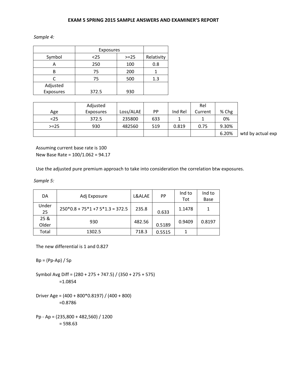|           | Exposures |        |            |
|-----------|-----------|--------|------------|
| Symbol    | $25$      | $>=25$ | Relativity |
|           | 250       | 100    | 0.8        |
| B         | 75        | 200    |            |
|           | 75        | 500    | 1.3        |
| Adjusted  |           |        |            |
| Exposures | 372.5     | 930    |            |

|         | Adjusted  |           |           |         | Rel     |       |
|---------|-----------|-----------|-----------|---------|---------|-------|
| Age     | Exposures | Loss/ALAE | <b>PP</b> | Ind Rel | Current | % Chg |
| <25     | 372.5     | 235800    | 633       |         |         | 0%    |
| $>= 25$ | 930       | 482560    | 519       | 0.819   | 0.75    | 9.30% |
|         |           |           |           |         |         | 6.20% |

wtd by actual exp

Assuming current base rate is 100 New Base Rate = 100/1.062 = 94.17

Use the adjusted pure premium approach to take into consideration the correlation btw exposures.

*Sample 5:* 

| DA    |                                   | L&ALAE | PP     | Ind to | Ind to |
|-------|-----------------------------------|--------|--------|--------|--------|
|       | Adj Exposure                      |        |        | Tot    | Base   |
| Under | $250*0.8 + 75*1 + 75*1.3 = 372.5$ | 235.8  |        | 1.1478 | 1      |
| 25    |                                   |        | 0.633  |        |        |
| 25 &  | 930                               | 482.56 |        | 0.9409 | 0.8197 |
| Older |                                   |        | 0.5189 |        |        |
| Total | 1302.5                            | 718.3  | 0.5515 |        |        |

The new differential is 1 and 0.827

 $Bp = (Pp-Ap) / Sp$ 

Symbol Avg Diff = (280 + 275 + 747.5) / (350 + 275 + 575) =1.0854

Driver Age = (400 + 800\*0.8197) / (400 + 800) =0.8786

Pp - Ap = (235,800 + 482,560) / 1200 = 598.63

*Sample 4:*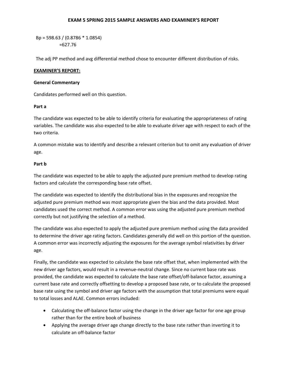Bp = 598.63 / (0.8786 \* 1.0854) =627.76

The adj PP method and avg differential method chose to encounter different distribution of risks.

# **EXAMINER'S REPORT:**

# **General Commentary**

Candidates performed well on this question.

# **Part a**

The candidate was expected to be able to identify criteria for evaluating the appropriateness of rating variables. The candidate was also expected to be able to evaluate driver age with respect to each of the two criteria.

A common mistake was to identify and describe a relevant criterion but to omit any evaluation of driver age.

# **Part b**

The candidate was expected to be able to apply the adjusted pure premium method to develop rating factors and calculate the corresponding base rate offset.

The candidate was expected to identify the distributional bias in the exposures and recognize the adjusted pure premium method was most appropriate given the bias and the data provided. Most candidates used the correct method. A common error was using the adjusted pure premium method correctly but not justifying the selection of a method.

The candidate was also expected to apply the adjusted pure premium method using the data provided to determine the driver age rating factors. Candidates generally did well on this portion of the question. A common error was incorrectly adjusting the exposures for the average symbol relativities by driver age.

Finally, the candidate was expected to calculate the base rate offset that, when implemented with the new driver age factors, would result in a revenue-neutral change. Since no current base rate was provided, the candidate was expected to calculate the base rate offset/off-balance factor, assuming a current base rate and correctly offsetting to develop a proposed base rate, or to calculate the proposed base rate using the symbol and driver age factors with the assumption that total premiums were equal to total losses and ALAE. Common errors included:

- Calculating the off-balance factor using the change in the driver age factor for one age group rather than for the entire book of business
- Applying the average driver age change directly to the base rate rather than inverting it to calculate an off-balance factor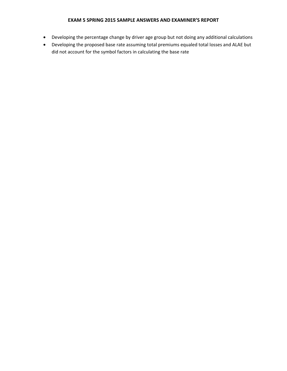- Developing the percentage change by driver age group but not doing any additional calculations
- Developing the proposed base rate assuming total premiums equaled total losses and ALAE but did not account for the symbol factors in calculating the base rate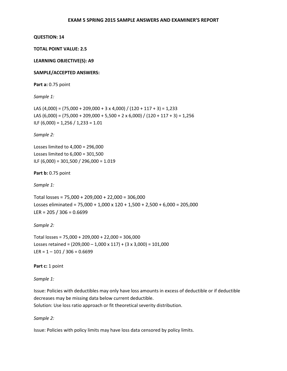# **TOTAL POINT VALUE: 2.5**

### **LEARNING OBJECTIVE(S): A9**

#### **SAMPLE/ACCEPTED ANSWERS:**

**Part a:** 0.75 point

*Sample 1:* 

LAS  $(4,000) = (75,000 + 209,000 + 3 \times 4,000) / (120 + 117 + 3) = 1,233$ LAS  $(6,000) = (75,000 + 209,000 + 5,500 + 2 \times 6,000) / (120 + 117 + 3) = 1,256$ ILF  $(6,000) = 1,256 / 1,233 = 1.01$ 

*Sample 2:* 

Losses limited to 4,000 = 296,000 Losses limited to 6,000 = 301,500 ILF (6,000) = 301,500 / 296,000 = 1.019

**Part b:** 0.75 point

*Sample 1:* 

Total losses = 75,000 + 209,000 + 22,000 = 306,000 Losses eliminated =  $75,000 + 1,000 \times 120 + 1,500 + 2,500 + 6,000 = 205,000$ LER =  $205 / 306 = 0.6699$ 

*Sample 2:* 

Total losses = 75,000 + 209,000 + 22,000 = 306,000 Losses retained =  $(209,000 - 1,000 \times 117) + (3 \times 3,000) = 101,000$ LER =  $1 - 101 / 306 = 0.6699$ 

Part c: 1 point

*Sample 1:* 

Issue: Policies with deductibles may only have loss amounts in excess of deductible or if deductible decreases may be missing data below current deductible.

Solution: Use loss ratio approach or fit theoretical severity distribution.

*Sample 2:* 

Issue: Policies with policy limits may have loss data censored by policy limits.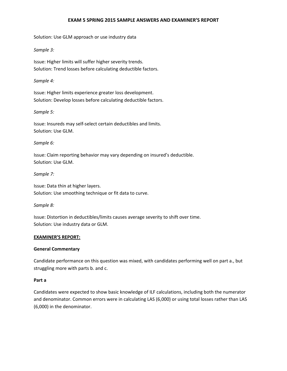Solution: Use GLM approach or use industry data

# *Sample 3:*

Issue: Higher limits will suffer higher severity trends. Solution: Trend losses before calculating deductible factors.

# *Sample 4:*

Issue: Higher limits experience greater loss development. Solution: Develop losses before calculating deductible factors.

### *Sample 5:*

Issue: Insureds may self-select certain deductibles and limits. Solution: Use GLM.

### *Sample 6:*

Issue: Claim reporting behavior may vary depending on insured's deductible. Solution: Use GLM.

# *Sample 7:*

Issue: Data thin at higher layers. Solution: Use smoothing technique or fit data to curve.

# *Sample 8:*

Issue: Distortion in deductibles/limits causes average severity to shift over time. Solution: Use industry data or GLM.

#### **EXAMINER'S REPORT:**

# **General Commentary**

Candidate performance on this question was mixed, with candidates performing well on part a., but struggling more with parts b. and c.

#### **Part a**

Candidates were expected to show basic knowledge of ILF calculations, including both the numerator and denominator. Common errors were in calculating LAS (6,000) or using total losses rather than LAS (6,000) in the denominator.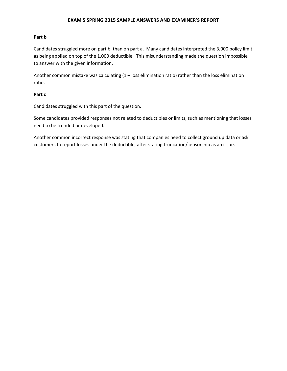### **Part b**

Candidates struggled more on part b. than on part a. Many candidates interpreted the 3,000 policy limit as being applied on top of the 1,000 deductible. This misunderstanding made the question impossible to answer with the given information.

Another common mistake was calculating (1 – loss elimination ratio) rather than the loss elimination ratio.

### **Part c**

Candidates struggled with this part of the question.

Some candidates provided responses not related to deductibles or limits, such as mentioning that losses need to be trended or developed.

Another common incorrect response was stating that companies need to collect ground up data or ask customers to report losses under the deductible, after stating truncation/censorship as an issue.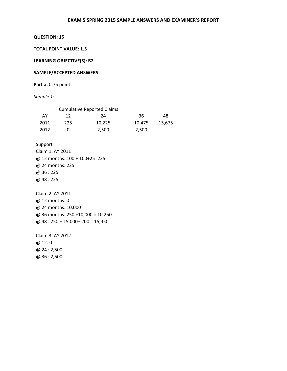**TOTAL POINT VALUE: 1.5** 

**LEARNING OBJECTIVE(S): B2** 

#### **SAMPLE/ACCEPTED ANSWERS:**

**Part a:** 0.75 point

*Sample 1:* 

|      |     | <b>Cumulative Reported Claims</b> |        |        |
|------|-----|-----------------------------------|--------|--------|
| AY   | 12  | 24                                | 36     | 48     |
| 2011 | 225 | 10.225                            | 10.475 | 15.675 |
| 2012 |     | 2.500                             | 2,500  |        |

Support Claim 1: AY 2011 @ 12 months: 100 + 100+25=225 @ 24 months: 225 @ 36 : 225 @ 48 : 225

Claim 2: AY 2011 @ 12 months: 0 @ 24 months: 10,000 @ 36 months: 250 +10,000 = 10,250 @ 48 : 250 + 15,000+ 200 = 15,450

Claim 3: AY 2012 @ 12: 0 @ 24 : 2,500 @ 36 : 2,500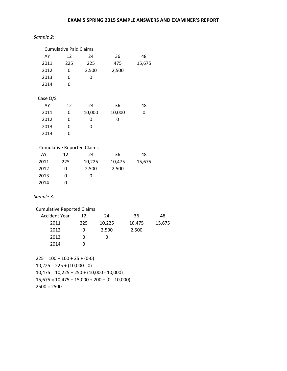# *Sample 2:*

|                                   | <b>Cumulative Paid Claims</b> |                                   |                                                 |        |        |
|-----------------------------------|-------------------------------|-----------------------------------|-------------------------------------------------|--------|--------|
| AY                                | 12                            | 24                                | 36                                              | 48     |        |
| 2011                              | 225                           | 225                               | 475                                             | 15,675 |        |
| 2012                              | 0                             | 2,500                             | 2,500                                           |        |        |
| 2013                              | 0                             | 0                                 |                                                 |        |        |
| 2014                              | 0                             |                                   |                                                 |        |        |
|                                   |                               |                                   |                                                 |        |        |
| Case O/S                          |                               |                                   |                                                 |        |        |
| AY                                | 12                            | 24                                | 36                                              | 48     |        |
| 2011                              | 0                             | 10,000                            | 10,000                                          | 0      |        |
| 2012                              | 0                             | 0                                 | 0                                               |        |        |
| 2013                              | 0                             | 0                                 |                                                 |        |        |
| 2014                              | 0                             |                                   |                                                 |        |        |
|                                   |                               |                                   |                                                 |        |        |
|                                   |                               | <b>Cumulative Reported Claims</b> |                                                 |        |        |
| AY                                | 12                            | 24                                | 36                                              | 48     |        |
| 2011                              | 225                           | 10,225                            | 10,475                                          | 15,675 |        |
| 2012                              | 0                             | 2,500                             | 2,500                                           |        |        |
| 2013                              | 0                             | 0                                 |                                                 |        |        |
| 2014                              | 0                             |                                   |                                                 |        |        |
|                                   |                               |                                   |                                                 |        |        |
| Sample 3:                         |                               |                                   |                                                 |        |        |
| <b>Cumulative Reported Claims</b> |                               |                                   |                                                 |        |        |
| <b>Accident Year</b>              |                               | 12                                | 24                                              | 36     | 48     |
| 2011                              |                               | 225                               | 10,225                                          | 10,475 | 15,675 |
| 2012                              |                               | 0                                 | 2,500                                           | 2,500  |        |
| 2013                              |                               | $\mathbf 0$                       | 0                                               |        |        |
| 2014                              |                               | 0                                 |                                                 |        |        |
|                                   |                               |                                   |                                                 |        |        |
| $225 = 100 + 100 + 25 + (0-0)$    |                               |                                   |                                                 |        |        |
| $10,225 = 225 + (10,000 - 0)$     |                               |                                   |                                                 |        |        |
|                                   |                               |                                   | $10,475 = 10,225 + 250 + (10,000 - 10,000)$     |        |        |
|                                   |                               |                                   | $15,675 = 10,475 + 15,000 + 200 + (0 - 10,000)$ |        |        |
| $2500 = 2500$                     |                               |                                   |                                                 |        |        |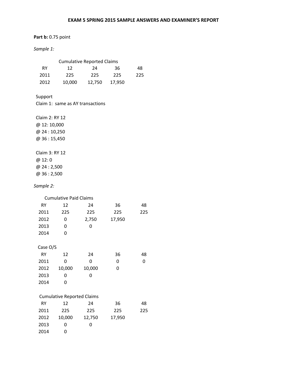# **Part b:** 0.75 point

## *Sample 1:*

| <b>Cumulative Reported Claims</b> |        |        |        |     |  |
|-----------------------------------|--------|--------|--------|-----|--|
| RY                                | 12     | 24     | 36     | 48  |  |
| 2011                              | 225    | 225    | 225    | 225 |  |
| 2012                              | 10,000 | 12.750 | 17,950 |     |  |

Support

Claim 1: same as AY transactions

Claim 2: RY 12 @ 12: 10,000 @ 24 : 10,250 @ 36 : 15,450 Claim 3: RY 12 @ 12: 0 @ 24 : 2,500 @ 36 : 2,500

## *Sample 2:*

|          | <b>Cumulative Paid Claims</b>     |        |        |     |  |  |  |
|----------|-----------------------------------|--------|--------|-----|--|--|--|
| RY       | 12                                | 24     | 36     | 48  |  |  |  |
| 2011     | 225                               | 225    | 225    | 225 |  |  |  |
| 2012     | 0                                 | 2,750  | 17,950 |     |  |  |  |
| 2013     | 0                                 | 0      |        |     |  |  |  |
| 2014     | 0                                 |        |        |     |  |  |  |
|          |                                   |        |        |     |  |  |  |
| Case O/S |                                   |        |        |     |  |  |  |
| RY       | 12                                | 24     | 36     | 48  |  |  |  |
| 2011     | 0                                 | 0      | 0      | 0   |  |  |  |
| 2012     | 10,000                            | 10,000 | 0      |     |  |  |  |
| 2013     | 0                                 | 0      |        |     |  |  |  |
| 2014     | 0                                 |        |        |     |  |  |  |
|          |                                   |        |        |     |  |  |  |
|          | <b>Cumulative Reported Claims</b> |        |        |     |  |  |  |
| RY       | 12                                | 24     | 36     | 48  |  |  |  |
| 2011     | 225                               | 225    | 225    | 225 |  |  |  |
| 2012     | 10,000                            | 12,750 | 17,950 |     |  |  |  |
| 2013     | 0                                 | 0      |        |     |  |  |  |
| 2014     | 0                                 |        |        |     |  |  |  |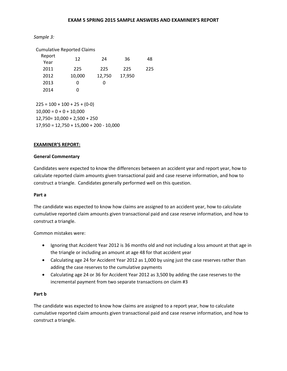*Sample 3:* 

| <b>Cumulative Reported Claims</b> |        |        |        |     |  |  |
|-----------------------------------|--------|--------|--------|-----|--|--|
| Report<br>Year                    | 12     | 24     | 36     | 48  |  |  |
| 2011                              | 225    | 225    | 225    | 225 |  |  |
| 2012                              | 10,000 | 12,750 | 17,950 |     |  |  |
| 2013                              | O      | O      |        |     |  |  |
| 2014                              | O      |        |        |     |  |  |
|                                   |        |        |        |     |  |  |

 $225 = 100 + 100 + 25 + (0-0)$  $10,000 = 0 + 0 + 10,000$ 12,750= 10,000 + 2,500 + 250 17,950 = 12,750 + 15,000 + 200 - 10,000

## **EXAMINER'S REPORT:**

## **General Commentary**

Candidates were expected to know the differences between an accident year and report year, how to calculate reported claim amounts given transactional paid and case reserve information, and how to construct a triangle. Candidates generally performed well on this question.

## **Part a**

The candidate was expected to know how claims are assigned to an accident year, how to calculate cumulative reported claim amounts given transactional paid and case reserve information, and how to construct a triangle.

Common mistakes were:

- Ignoring that Accident Year 2012 is 36 months old and not including a loss amount at that age in the triangle or including an amount at age 48 for that accident year
- Calculating age 24 for Accident Year 2012 as 1,000 by using just the case reserves rather than adding the case reserves to the cumulative payments
- Calculating age 24 or 36 for Accident Year 2012 as 3,500 by adding the case reserves to the incremental payment from two separate transactions on claim #3

## **Part b**

The candidate was expected to know how claims are assigned to a report year, how to calculate cumulative reported claim amounts given transactional paid and case reserve information, and how to construct a triangle.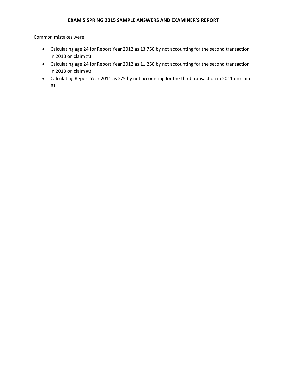Common mistakes were:

- Calculating age 24 for Report Year 2012 as 13,750 by not accounting for the second transaction in 2013 on claim #3
- Calculating age 24 for Report Year 2012 as 11,250 by not accounting for the second transaction in 2013 on claim #3.
- Calculating Report Year 2011 as 275 by not accounting for the third transaction in 2011 on claim #1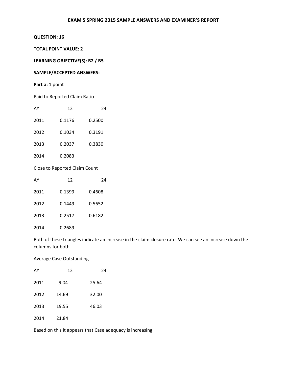#### **QUESTION: 16**

#### **TOTAL POINT VALUE: 2**

#### **LEARNING OBJECTIVE(S): B2 / B5**

## **SAMPLE/ACCEPTED ANSWERS:**

## Part a: 1 point

#### Paid to Reported Claim Ratio

| AY   | 12     | 24     |
|------|--------|--------|
| 2011 | 0.1176 | 0.2500 |
| 2012 | 0.1034 | 0.3191 |
| 2013 | 0.2037 | 0.3830 |
| 2014 | 0.2083 |        |

## Close to Reported Claim Count

| AY   | 12     | 24     |
|------|--------|--------|
| 2011 | 0.1399 | 0.4608 |
| 2012 | 0.1449 | 0.5652 |
| 2013 | 0.2517 | 0.6182 |
| 2014 | 0.2689 |        |

Both of these triangles indicate an increase in the claim closure rate. We can see an increase down the columns for both

#### Average Case Outstanding

| AY   | 12    | 24    |
|------|-------|-------|
| 2011 | 9.04  | 25.64 |
| 2012 | 14.69 | 32.00 |
| 2013 | 19.55 | 46.03 |
| 2014 | 21.84 |       |

Based on this it appears that Case adequacy is increasing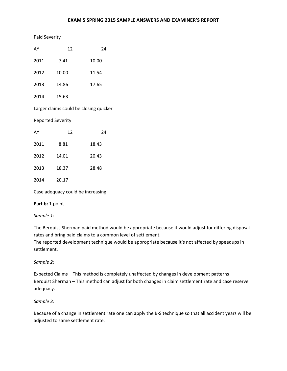#### Paid Severity

| AY   | 12                       | 24                                     |
|------|--------------------------|----------------------------------------|
| 2011 | 7.41                     | 10.00                                  |
| 2012 | 10.00                    | 11.54                                  |
| 2013 | 14.86                    | 17.65                                  |
| 2014 | 15.63                    |                                        |
|      |                          | Larger claims could be closing quicker |
|      | <b>Reported Severity</b> |                                        |
| AY   | 12                       | 24                                     |
| 2011 | 8.81                     | 18.43                                  |
| 2012 | 14.01                    | 20.43                                  |
| 2013 | 18.37                    | 28.48                                  |

2014 20.17

Case adequacy could be increasing

Part **b**: 1 point

*Sample 1:* 

The Berquist-Sherman paid method would be appropriate because it would adjust for differing disposal rates and bring paid claims to a common level of settlement.

The reported development technique would be appropriate because it's not affected by speedups in settlement.

#### *Sample 2:*

Expected Claims – This method is completely unaffected by changes in development patterns Berquist Sherman – This method can adjust for both changes in claim settlement rate and case reserve adequacy.

#### *Sample 3:*

Because of a change in settlement rate one can apply the B-S technique so that all accident years will be adjusted to same settlement rate.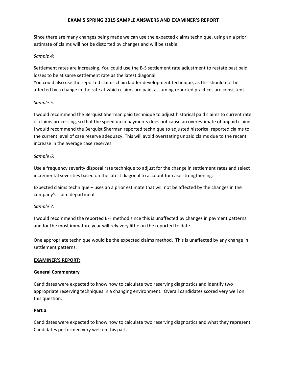Since there are many changes being made we can use the expected claims technique, using an a priori estimate of claims will not be distorted by changes and will be stable.

#### *Sample 4:*

Settlement rates are increasing. You could use the B-S settlement rate adjustment to restate past paid losses to be at same settlement rate as the latest diagonal.

You could also use the reported claims chain ladder development technique, as this should not be affected by a change in the rate at which claims are paid, assuming reported practices are consistent.

#### *Sample 5:*

I would recommend the Berquist Sherman paid technique to adjust historical paid claims to current rate of claims processing, so that the speed up in payments does not cause an overestimate of unpaid claims. I would recommend the Berquist Sherman reported technique to adjusted historical reported claims to the current level of case reserve adequacy. This will avoid overstating unpaid claims due to the recent increase in the average case reserves.

#### *Sample 6:*

Use a frequency severity disposal rate technique to adjust for the change in settlement rates and select incremental severities based on the latest diagonal to account for case strengthening.

Expected claims technique – uses an a prior estimate that will not be affected by the changes in the company's claim department

## *Sample 7:*

I would recommend the reported B-F method since this is unaffected by changes in payment patterns and for the most immature year will rely very little on the reported to date.

One appropriate technique would be the expected claims method. This is unaffected by any change in settlement patterns.

## **EXAMINER'S REPORT:**

#### **General Commentary**

Candidates were expected to know how to calculate two reserving diagnostics and identify two appropriate reserving techniques in a changing environment. Overall candidates scored very well on this question.

## **Part a**

Candidates were expected to know how to calculate two reserving diagnostics and what they represent. Candidates performed very well on this part.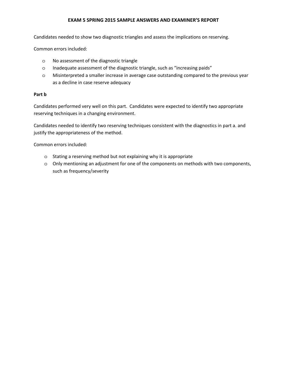Candidates needed to show two diagnostic triangles and assess the implications on reserving.

Common errors included:

- o No assessment of the diagnostic triangle
- o Inadequate assessment of the diagnostic triangle, such as "increasing paids"
- o Misinterpreted a smaller increase in average case outstanding compared to the previous year as a decline in case reserve adequacy

## **Part b**

Candidates performed very well on this part. Candidates were expected to identify two appropriate reserving techniques in a changing environment.

Candidates needed to identify two reserving techniques consistent with the diagnostics in part a. and justify the appropriateness of the method.

Common errors included:

- o Stating a reserving method but not explaining why it is appropriate
- o Only mentioning an adjustment for one of the components on methods with two components, such as frequency/severity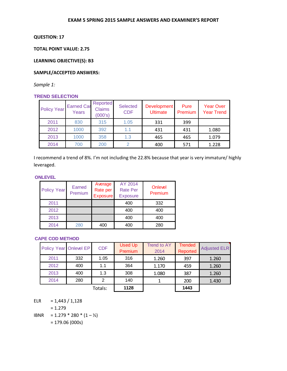## **QUESTION: 17**

**TOTAL POINT VALUE: 2.75** 

**LEARNING OBJECTIVE(S): B3** 

## **SAMPLE/ACCEPTED ANSWERS:**

*Sample 1:*

## **TREND SELECTION**

| <b>Policy Year</b> | <b>Earned Car</b><br>Years | Reported<br><b>Claims</b><br>(000's) | <b>Selected</b><br><b>CDF</b> | Development<br><b>Ultimate</b> | Pure<br>Premium | <b>Year Over</b><br><b>Year Trend</b> |
|--------------------|----------------------------|--------------------------------------|-------------------------------|--------------------------------|-----------------|---------------------------------------|
| 2011               | 830                        | 315                                  | 1.05                          | 331                            | 399             |                                       |
| 2012               | 1000                       | 392                                  | 1.1                           | 431                            | 431             | 1.080                                 |
| 2013               | 1000                       | 358                                  | 1.3                           | 465                            | 465             | 1.079                                 |
| 2014               | 700                        | 200                                  |                               | 400                            | 571             | 1.228                                 |

I recommend a trend of 8%. I'm not including the 22.8% because that year is very immature/ highly leveraged.

#### **ONLEVEL**

| <b>Policy Year</b> | Earned<br>Premium | Average<br>Rate per<br><b>Exposure</b> | AY 2014<br><b>Rate Per</b><br><b>Exposure</b> | Onlevel<br>Premium |
|--------------------|-------------------|----------------------------------------|-----------------------------------------------|--------------------|
| 2011               |                   |                                        | 400                                           | 332                |
| 2012               |                   |                                        | 400                                           | 400                |
| 2013               |                   |                                        | 400                                           | 400                |
| 2014               | 280               | 400                                    | 400                                           | 280                |

#### **CAPE COD METHOD**

| Policy Year Onlevel EP |     | <b>CDF</b>    | <b>Used Up</b><br>Premium | <b>Trend to AY</b><br>2014 | <b>Trended</b><br>Reported | <b>Adjusted ELR</b> |
|------------------------|-----|---------------|---------------------------|----------------------------|----------------------------|---------------------|
| 2011                   | 332 | 1.05          | 316                       | 1.260                      | 397                        | 1.260               |
| 2012                   | 400 | 1.1           | 364                       | 1.170                      | 459                        | 1.260               |
| 2013                   | 400 | 1.3           | 308                       | 1.080                      | 387                        | 1.260               |
| 2014                   | 280 | $\mathcal{P}$ | 140                       |                            | 200                        | 1.430               |
|                        |     | Totals:       | 1128                      |                            | 1443                       |                     |

ELR =  $1,443 / 1,128$ 

$$
=1.279
$$

IBNR = 1.279  $*$  280  $*$  (1 –  $\frac{1}{2}$ ) = 179.06 (000s)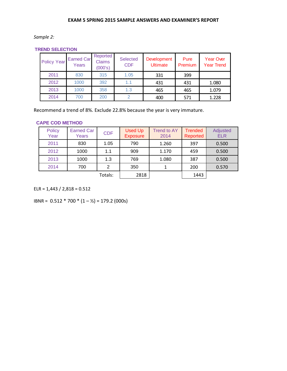*Sample 2:* 

**TREND SELECTION**

| <b>Policy Year</b> | <b>Earned Car</b><br>Years | Reported<br><b>Claims</b><br>(000's) | <b>Selected</b><br><b>CDF</b> | <b>Development</b><br><b>Ultimate</b> | Pure<br>Premium | <b>Year Over</b><br><b>Year Trend</b> |
|--------------------|----------------------------|--------------------------------------|-------------------------------|---------------------------------------|-----------------|---------------------------------------|
| 2011               | 830                        | 315                                  | 1.05                          | 331                                   | 399             |                                       |
| 2012               | 1000                       | 392                                  | 1.1                           | 431                                   | 431             | 1.080                                 |
| 2013               | 1000                       | 358                                  | 1.3                           | 465                                   | 465             | 1.079                                 |
| 2014               | 700                        | 200                                  | ◠                             | 400                                   | 571             | 1.228                                 |

Recommend a trend of 8%. Exclude 22.8% because the year is very immature.

#### **CAPE COD METHOD**

| <b>Policy</b><br>Year | <b>Earned Car</b><br>Years | <b>CDF</b> | <b>Used Up</b><br><b>Exposure</b> | <b>Trend to AY</b><br>2014 | <b>Trended</b><br>Reported | Adjusted<br><b>ELR</b> |
|-----------------------|----------------------------|------------|-----------------------------------|----------------------------|----------------------------|------------------------|
| 2011                  | 830                        | 1.05       | 790                               | 1.260                      | 397                        | 0.500                  |
| 2012                  | 1000                       | 1.1        | 909                               | 1.170                      | 459                        | 0.500                  |
| 2013                  | 1000                       | 1.3        | 769                               | 1.080                      | 387                        | 0.500                  |
| 2014                  | 700                        | 2          | 350                               |                            | 200                        | 0.570                  |
|                       |                            | Totals:    | 2818                              |                            | 1443                       |                        |

ELR = 1,443 / 2,818 = 0.512

IBNR = 0.512 \* 700 \* (1 – ½) = 179.2 (000s)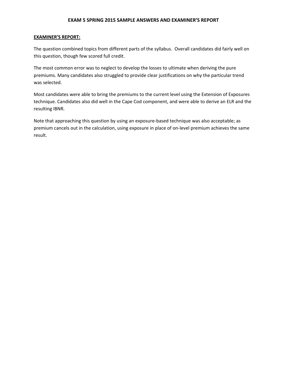#### **EXAMINER'S REPORT:**

The question combined topics from different parts of the syllabus. Overall candidates did fairly well on this question, though few scored full credit.

The most common error was to neglect to develop the losses to ultimate when deriving the pure premiums. Many candidates also struggled to provide clear justifications on why the particular trend was selected.

Most candidates were able to bring the premiums to the current level using the Extension of Exposures technique. Candidates also did well in the Cape Cod component, and were able to derive an ELR and the resulting IBNR.

Note that approaching this question by using an exposure-based technique was also acceptable; as premium cancels out in the calculation, using exposure in place of on-level premium achieves the same result.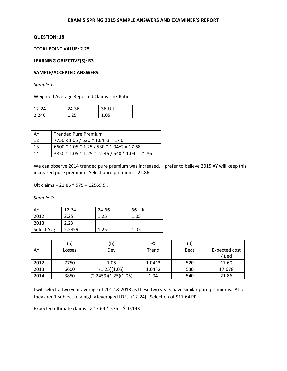## **QUESTION: 18**

## **TOTAL POINT VALUE: 2.25**

**LEARNING OBJECTIVE(S): B3** 

#### **SAMPLE/ACCEPTED ANSWERS:**

*Sample 1:* 

Weighted Average Reported Claims Link Ratio

| $12 - 24$ | 24-36 | 36-Ult |
|-----------|-------|--------|
| 2.246     | 1.25  | 1 N5   |

| AY  | Trended Pure Premium                            |
|-----|-------------------------------------------------|
| 12  | $7750 \times 1.05 / 520 * 1.04^3 = 17.6$        |
| -13 | $6600 * 1.05 * 1.25 / 530 * 1.04^2 = 17.68$     |
| 14  | 3850 * 1.05 * 1.25 * 2.246 / 540 * 1.04 = 21.86 |

We can observe 2014 trended pure premium was increased. I prefer to believe 2015 AY will keep this increased pure premium. Select pure premium = 21.86

Ult claims = 21.86 \* 575 = 12569.5K

*Sample 2:* 

| AY         | $12 - 24$ | 24-36 | 36-Ult |
|------------|-----------|-------|--------|
| 2012       | 2.25      | 1.25  | 1.05   |
| 2013       | 2.23      |       |        |
| Select Avg | 2.2459    | 1.25  | 1.05   |

|      | (a)    | b)                   | O                 | (d)         |                      |
|------|--------|----------------------|-------------------|-------------|----------------------|
| AY   | Losses | Dev                  | Trend             | <b>Beds</b> | <b>Expected cost</b> |
|      |        |                      |                   |             | / Bed                |
| 2012 | 7750   | 1.05                 | 1.04 <sup>3</sup> | 520         | 17.60                |
| 2013 | 6600   | (1.25)(1.05)         | 1.04 <sup>2</sup> | 530         | 17.678               |
| 2014 | 3850   | (2.2459)(1.25)(1.05) | 1.04              | 540         | 21.86                |

I will select a two year average of 2012 & 2013 as these two years have similar pure premiums. Also they aren't subject to a highly leveraged LDFs. (12-24). Selection of \$17.64 PP.

Expected ultimate claims => 17.64 \* 575 = \$10,143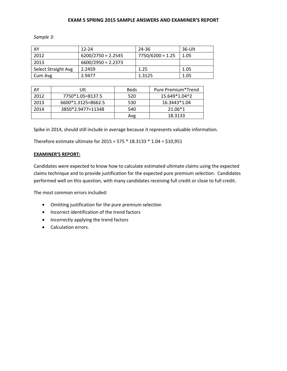*Sample 3:* 

| AY                  | $12 - 24$            | 24-36              | $36-Ult$ |
|---------------------|----------------------|--------------------|----------|
| 2012                | $6200/2750 = 2.2545$ | $7750/6200 = 1.25$ | 1.05     |
| 2013                | $6600/2950 = 2.2373$ |                    |          |
| Select Straight Avg | 2.2459               | 1.25               | 1.05     |
| Cum Avg             | 2.9477               | 1.3125             | 1.05     |

| AY   | Ult                | <b>Beds</b> | Pure Premium*Trend |
|------|--------------------|-------------|--------------------|
| 2012 | 7750*1.05=8137.5   | 520         | 15.649*1.04^2      |
| 2013 | 6600*1.3125=8662.5 | 530         | 16.3443*1.04       |
| 2014 | 3850*2.9477=11348  | 540         | $21.06*1$          |
|      |                    | Avg         | 18.3133            |

Spike in 2014, should still include in average because it represents valuable information.

Therefore estimate ultimate for 2015 = 575 \* 18.3133 \* 1.04 = \$10,951

## **EXAMINER'S REPORT:**

Candidates were expected to know how to calculate estimated ultimate claims using the expected claims technique and to provide justification for the expected pure premium selection. Candidates performed well on this question, with many candidates receiving full credit or close to full credit.

The most common errors included:

- Omitting justification for the pure premium selection
- Incorrect identification of the trend factors
- Incorrectly applying the trend factors
- Calculation errors.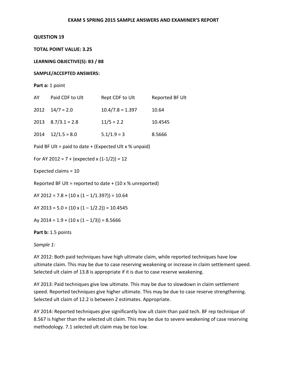#### **QUESTION 19**

**TOTAL POINT VALUE: 3.25** 

**LEARNING OBJECTIVE(S): B3 / B8** 

#### **SAMPLE/ACCEPTED ANSWERS:**

```
Part a: 1 point
```

| AY   | Paid CDF to Ult         | Rept CDF to Ult    | Reported BF Ult |
|------|-------------------------|--------------------|-----------------|
|      | $2012 \quad 14/7 = 2.0$ | $10.4/7.8 = 1.397$ | 10.64           |
|      | $2013$ $8.7/3.1 = 2.8$  | $11/5 = 2.2$       | 10.4545         |
| 2014 | $12/1.5 = 8.0$          | $5.1/1.9 = 3$      | 8.5666          |

Paid BF Ult = paid to date  $+$  (Expected Ult x % unpaid)

For AY 2012 =  $7 + (expected x (1-1/2)) = 12$ 

Expected claims = 10

Reported BF Ult = reported to date  $+$  (10 x % unreported)

AY 2012 =  $7.8 + (10 \times (1 - 1/1.397)) = 10.64$ 

AY 2013 =  $5.0 + (10 \times (1 - 1/2.2)) = 10.4545$ 

Ay 2014 =  $1.9 + (10 \times (1 - 1/3)) = 8.5666$ 

Part b: 1.5 points

*Sample 1:* 

AY 2012: Both paid techniques have high ultimate claim, while reported techniques have low ultimate claim. This may be due to case reserving weakening or increase in claim settlement speed. Selected ult claim of 13.8 is appropriate if it is due to case reserve weakening.

AY 2013: Paid techniques give low ultimate. This may be due to slowdown in claim settlement speed. Reported techniques give higher ultimate. This may be due to case reserve strengthening. Selected ult claim of 12.2 is between 2 estimates. Appropriate.

AY 2014: Reported techniques give significantly low ult claim than paid tech. BF rep technique of 8.567 is higher than the selected ult claim. This may be due to severe weakening of case reserving methodology. 7.1 selected ult claim may be too low.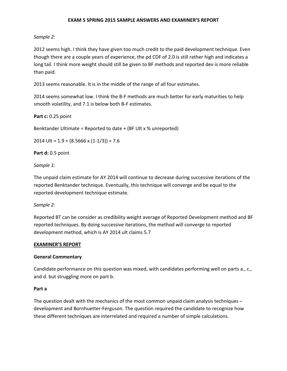## *Sample 2:*

2012 seems high. I think they have given too much credit to the paid development technique. Even though there are a couple years of experience, the pd CDF of 2.0 is still rather high and indicates a long tail. I think more weight should still be given to BF methods and reported dev is more reliable than paid.

2013 seems reasonable. It is in the middle of the range of all four estimates.

2014 seems somewhat low. I think the B-F methods are much better for early maturities to help smooth volatility, and 7.1 is below both B-F estimates.

## **Part c:** 0.25 point

Benktander Ultimate = Reported to date + (BF Ult x % unreported)

2014 Ult =  $1.9 + (8.5666 \times (1-1/3)) = 7.6$ 

**Part d:** 0.5 point

*Sample 1:* 

The unpaid claim estimate for AY 2014 will continue to decrease during successive iterations of the reported Benktander technique. Eventually, this technique will converge and be equal to the reported development technique estimate.

*Sample 2:* 

Reported BT can be consider as credibility weight average of Reported Development method and BF reported techniques. By doing successive iterations, the method will converge to reported development method, which is AY 2014 ult claims 5.7

## **EXAMINER'S REPORT**

## **General Commentary**

Candidate performance on this question was mixed, with candidates performing well on parts a., c., and d. but struggling more on part b.

## **Part a**

The question dealt with the mechanics of the most common unpaid claim analysis techniques – development and Bornhuetter-Ferguson. The question required the candidate to recognize how these different techniques are interrelated and required a number of simple calculations.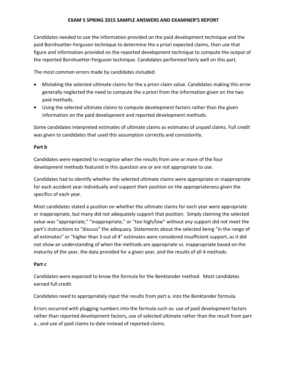Candidates needed to use the information provided on the paid development technique and the paid Bornhuetter-Ferguson technique to determine the a priori expected claims, then use that figure and information provided on the reported development technique to compute the output of the reported Bornhuetter-Ferguson technique. Candidates performed fairly well on this part.

The most common errors made by candidates included:

- Mistaking the selected ultimate claims for the a priori claim value. Candidates making this error generally neglected the need to compute the a priori from the information given on the two paid methods.
- Using the selected ultimate claims to compute development factors rather than the given information on the paid development and reported development methods.

Some candidates interpreted estimates of ultimate claims as estimates of unpaid claims. Full credit was given to candidates that used this assumption correctly and consistently.

## **Part b**

Candidates were expected to recognize when the results from one or more of the four development methods featured in this question are or are not appropriate to use.

Candidates had to identify whether the selected ultimate claims were appropriate or inappropriate for each accident year individually and support their position on the appropriateness given the specifics of each year.

Most candidates stated a position on whether the ultimate claims for each year were appropriate or inappropriate, but many did not adequately support that position. Simply claiming the selected value was "appropriate," "inappropriate," or "too high/low" without any support did not meet the part's instructions to "discuss" the adequacy. Statements about the selected being "in the range of all estimates" or "higher than 3 out of 4" estimates were considered insufficient support, as it did not show an understanding of when the methods are appropriate vs. inappropriate based on the maturity of the year, the data provided for a given year, and the results of all 4 methods.

## **Part c**

Candidates were expected to know the formula for the Benktander method. Most candidates earned full credit.

Candidates need to appropriately input the results from part a. into the Benktander formula.

Errors occurred with plugging numbers into the formula such as: use of paid development factors rather than reported development factors, use of selected ultimate rather than the result from part a., and use of paid claims to date instead of reported claims.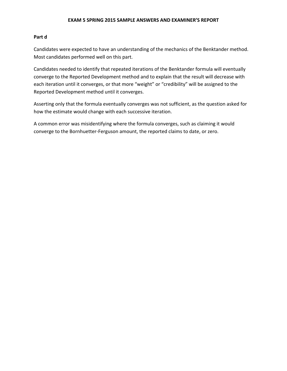### **Part d**

Candidates were expected to have an understanding of the mechanics of the Benktander method. Most candidates performed well on this part.

Candidates needed to identify that repeated iterations of the Benktander formula will eventually converge to the Reported Development method and to explain that the result will decrease with each iteration until it converges, or that more "weight" or "credibility" will be assigned to the Reported Development method until it converges.

Asserting only that the formula eventually converges was not sufficient, as the question asked for how the estimate would change with each successive iteration.

A common error was misidentifying where the formula converges, such as claiming it would converge to the Bornhuetter-Ferguson amount, the reported claims to date, or zero.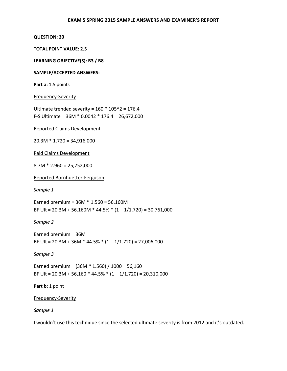#### **QUESTION: 20**

**TOTAL POINT VALUE: 2.5** 

**LEARNING OBJECTIVE(S): B3 / B8** 

#### **SAMPLE/ACCEPTED ANSWERS:**

Part a: 1.5 points

#### Frequency-Severity

Ultimate trended severity =  $160 * 105^2 = 176.4$ F-S Ultimate = 36M \* 0.0042 \* 176.4 = 26,672,000

Reported Claims Development

20.3M \* 1.720 = 34,916,000

Paid Claims Development

 $8.7M * 2.960 = 25,752,000$ 

Reported Bornhuetter-Ferguson

*Sample 1* 

Earned premium = 36M \* 1.560 = 56.160M BF Ult =  $20.3M + 56.160M * 44.5% * (1 - 1/1.720) = 30,761,000$ 

*Sample 2* 

Earned premium = 36M BF Ult =  $20.3M + 36M * 44.5% * (1 - 1/1.720) = 27,006,000$ 

*Sample 3* 

Earned premium =  $(36M * 1.560) / 1000 = 56,160$ BF Ult =  $20.3M + 56,160 * 44.5% * (1 - 1/1.720) = 20,310,000$ 

Part **b**: 1 point

## Frequency-Severity

*Sample 1* 

I wouldn't use this technique since the selected ultimate severity is from 2012 and it's outdated.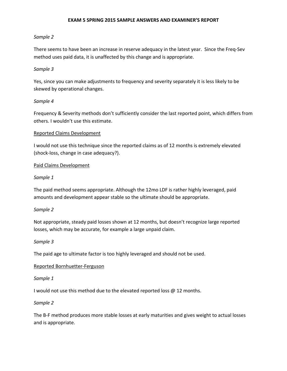## *Sample 2*

There seems to have been an increase in reserve adequacy in the latest year. Since the Freq-Sev method uses paid data, it is unaffected by this change and is appropriate.

## *Sample 3*

Yes, since you can make adjustments to frequency and severity separately it is less likely to be skewed by operational changes.

## *Sample 4*

Frequency & Severity methods don't sufficiently consider the last reported point, which differs from others. I wouldn't use this estimate.

## Reported Claims Development

I would not use this technique since the reported claims as of 12 months is extremely elevated (shock-loss, change in case adequacy?).

## Paid Claims Development

## *Sample 1*

The paid method seems appropriate. Although the 12mo LDF is rather highly leveraged, paid amounts and development appear stable so the ultimate should be appropriate.

## *Sample 2*

Not appropriate, steady paid losses shown at 12 months, but doesn't recognize large reported losses, which may be accurate, for example a large unpaid claim.

## *Sample 3*

The paid age to ultimate factor is too highly leveraged and should not be used.

## Reported Bornhuetter-Ferguson

## *Sample 1*

I would not use this method due to the elevated reported loss @ 12 months.

## *Sample 2*

The B-F method produces more stable losses at early maturities and gives weight to actual losses and is appropriate.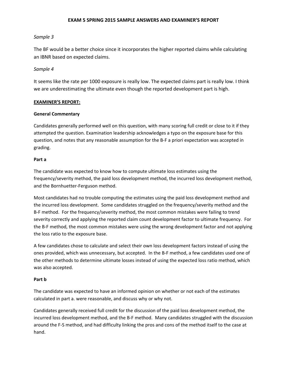## *Sample 3*

The BF would be a better choice since it incorporates the higher reported claims while calculating an IBNR based on expected claims.

## *Sample 4*

It seems like the rate per 1000 exposure is really low. The expected claims part is really low. I think we are underestimating the ultimate even though the reported development part is high.

## **EXAMINER'S REPORT:**

## **General Commentary**

Candidates generally performed well on this question, with many scoring full credit or close to it if they attempted the question. Examination leadership acknowledges a typo on the exposure base for this question, and notes that any reasonable assumption for the B-F a priori expectation was accepted in grading.

## **Part a**

The candidate was expected to know how to compute ultimate loss estimates using the frequency/severity method, the paid loss development method, the incurred loss development method, and the Bornhuetter-Ferguson method.

Most candidates had no trouble computing the estimates using the paid loss development method and the incurred loss development. Some candidates struggled on the frequency/severity method and the B-F method. For the frequency/severity method, the most common mistakes were failing to trend severity correctly and applying the reported claim count development factor to ultimate frequency. For the B-F method, the most common mistakes were using the wrong development factor and not applying the loss ratio to the exposure base.

A few candidates chose to calculate and select their own loss development factors instead of using the ones provided, which was unnecessary, but accepted. In the B-F method, a few candidates used one of the other methods to determine ultimate losses instead of using the expected loss ratio method, which was also accepted.

## **Part b**

The candidate was expected to have an informed opinion on whether or not each of the estimates calculated in part a. were reasonable, and discuss why or why not.

Candidates generally received full credit for the discussion of the paid loss development method, the incurred loss development method, and the B-F method. Many candidates struggled with the discussion around the F-S method, and had difficulty linking the pros and cons of the method itself to the case at hand.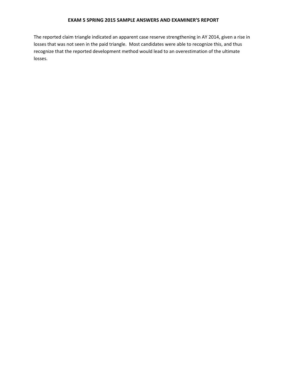The reported claim triangle indicated an apparent case reserve strengthening in AY 2014, given a rise in losses that was not seen in the paid triangle. Most candidates were able to recognize this, and thus recognize that the reported development method would lead to an overestimation of the ultimate losses.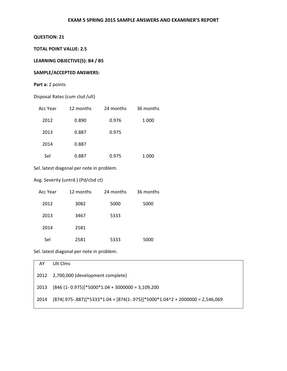## **QUESTION: 21**

### **TOTAL POINT VALUE: 2.5**

## **LEARNING OBJECTIVE(S): B4 / B5**

## **SAMPLE/ACCEPTED ANSWERS:**

## Part a: 2 points

|  | Disposal Rates (cum clsd /ult) |
|--|--------------------------------|
|--|--------------------------------|

| Acc Year | 12 months | 24 months | 36 months |
|----------|-----------|-----------|-----------|
| 2012     | 0.890     | 0.976     | 1.000     |
| 2013     | 0.887     | 0.975     |           |
| 2014     | 0.887     |           |           |
| Sel      | 0.887     | 0.975     | 1.000     |

Sel. latest diagonal per note in problem.

#### Avg. Severity (untrd.) (Pd/clsd ct)

| Acc Year | 12 months | 24 months | 36 months |
|----------|-----------|-----------|-----------|
| 2012     | 3082      | 5000      | 5000      |
| 2013     | 3467      | 5333      |           |
| 2014     | 2581      |           |           |
| Sel      | 2581      | 5333      | 5000      |

Sel. latest diagonal per note in problem.

| AY   | Ult Clms                                                                        |
|------|---------------------------------------------------------------------------------|
|      | 2012 2,700,000 (development complete)                                           |
| 2013 | $[846 (1 - 0.975)]*5000*1.04 + 3000000 = 3,109,200$                             |
| 2014 | $[874(.975-.887)]$ *5333*1.04 + [874(1-.975)]*5000*1.04^2 + 2000000 = 2,546,069 |
|      |                                                                                 |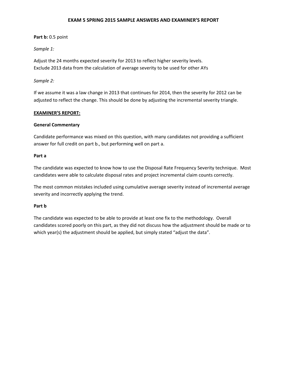## **Part b:** 0.5 point

## *Sample 1:*

Adjust the 24 months expected severity for 2013 to reflect higher severity levels. Exclude 2013 data from the calculation of average severity to be used for other AYs

## *Sample 2:*

If we assume it was a law change in 2013 that continues for 2014, then the severity for 2012 can be adjusted to reflect the change. This should be done by adjusting the incremental severity triangle.

## **EXAMINER'S REPORT:**

## **General Commentary**

Candidate performance was mixed on this question, with many candidates not providing a sufficient answer for full credit on part b., but performing well on part a.

## **Part a**

The candidate was expected to know how to use the Disposal Rate Frequency Severity technique. Most candidates were able to calculate disposal rates and project incremental claim counts correctly.

The most common mistakes included using cumulative average severity instead of incremental average severity and incorrectly applying the trend.

## **Part b**

The candidate was expected to be able to provide at least one fix to the methodology. Overall candidates scored poorly on this part, as they did not discuss how the adjustment should be made or to which year(s) the adjustment should be applied, but simply stated "adjust the data".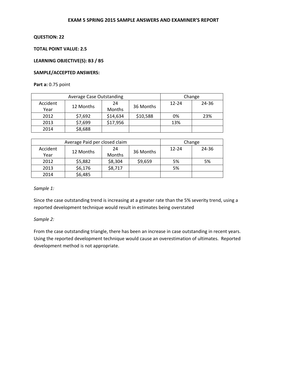#### **QUESTION: 22**

## **TOTAL POINT VALUE: 2.5**

## **LEARNING OBJECTIVE(S): B3 / B5**

#### **SAMPLE/ACCEPTED ANSWERS:**

### **Part a:** 0.75 point

|          | <b>Average Case Outstanding</b> |          | Change    |           |       |
|----------|---------------------------------|----------|-----------|-----------|-------|
| Accident |                                 | 24       |           | $12 - 24$ | 24-36 |
| Year     | 12 Months                       | Months   | 36 Months |           |       |
| 2012     | \$7,692                         | \$14,634 | \$10,588  | 0%        | 23%   |
| 2013     | \$7,699                         | \$17,956 |           | 13%       |       |
| 2014     | \$8,688                         |          |           |           |       |

|          | Average Paid per closed claim |         | Change    |           |       |
|----------|-------------------------------|---------|-----------|-----------|-------|
| Accident | 12 Months                     | 24      | 36 Months | $12 - 24$ | 24-36 |
| Year     |                               | Months  |           |           |       |
| 2012     | \$5,882                       | \$8,304 | \$9,659   | 5%        | 5%    |
| 2013     | \$6,176                       | \$8,717 |           | 5%        |       |
| 2014     | \$6,485                       |         |           |           |       |

#### *Sample 1:*

Since the case outstanding trend is increasing at a greater rate than the 5% severity trend, using a reported development technique would result in estimates being overstated

#### *Sample 2:*

From the case outstanding triangle, there has been an increase in case outstanding in recent years. Using the reported development technique would cause an overestimation of ultimates. Reported development method is not appropriate.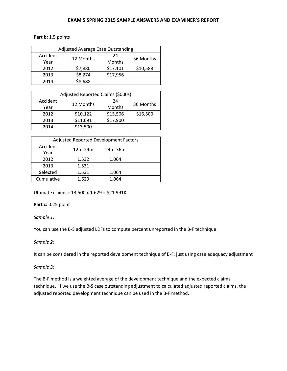### **Part b:** 1.5 points

| <b>Adjusted Average Case Outstanding</b> |           |          |           |  |  |  |
|------------------------------------------|-----------|----------|-----------|--|--|--|
| Accident                                 | 12 Months | 24       | 36 Months |  |  |  |
| Year                                     |           | Months   |           |  |  |  |
| 2012                                     | \$7,880   | \$17,101 | \$10,588  |  |  |  |
| 2013                                     | \$8,274   | \$17,956 |           |  |  |  |
| 2014                                     | \$8,688   |          |           |  |  |  |

| Adjusted Reported Claims (\$000s) |           |          |           |  |  |
|-----------------------------------|-----------|----------|-----------|--|--|
| Accident                          | 12 Months | 24       | 36 Months |  |  |
| Year                              |           | Months   |           |  |  |
| 2012                              | \$10,122  | \$15,506 | \$16,500  |  |  |
| 2013                              | \$11,691  | \$17,900 |           |  |  |
| 2014                              | \$13,500  |          |           |  |  |

| <b>Adjusted Reported Development Factors</b> |           |         |  |  |  |
|----------------------------------------------|-----------|---------|--|--|--|
| Accident<br>Year                             | $12m-24m$ | 24m-36m |  |  |  |
| 2012                                         | 1.532     | 1.064   |  |  |  |
| 2013                                         | 1.531     |         |  |  |  |
| Selected                                     | 1.531     | 1.064   |  |  |  |
| Cumulative                                   | 1.629     | 1.064   |  |  |  |

Ultimate claims = 13,500 x 1.629 = \$21,991K

## **Part c:** 0.25 point

## *Sample 1:*

You can use the B-S adjusted LDFs to compute percent unreported in the B-F technique

## *Sample 2:*

It can be considered in the reported development technique of B-F, just using case adequacy adjustment

#### *Sample 3:*

The B-F method is a weighted average of the development technique and the expected claims technique. If we use the B-S case outstanding adjustment to calculated adjusted reported claims, the adjusted reported development technique can be used in the B-F method.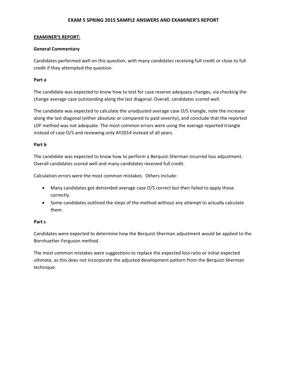### **EXAMINER'S REPORT:**

### **General Commentary**

Candidates performed well on this question, with many candidates receiving full credit or close to full credit if they attempted the question.

### **Part a**

The candidate was expected to know how to test for case reserve adequacy changes, via checking the change average case outstanding along the last diagonal. Overall, candidates scored well.

The candidate was expected to calculate the unadjusted average case O/S triangle, note the increase along the last diagonal (either absolute or compared to paid severity), and conclude that the reported LDF method was not adequate. The most common errors were using the average reported triangle instead of case O/S and reviewing only AY2014 instead of all years.

#### **Part b**

The candidate was expected to know how to perform a Berquist-Sherman incurred loss adjustment. Overall candidates scored well and many candidates received full credit.

Calculation errors were the most common mistakes. Others include:

- Many candidates got detrended average case O/S correct but then failed to apply those correctly.
- Some candidates outlined the steps of the method without any attempt to actually calculate them.

#### **Part c**

Candidates were expected to determine how the Berquist-Sherman adjustment would be applied to the Bornhuetter-Ferguson method.

The most common mistakes were suggestions to replace the expected loss ratio or initial expected ultimate, as this does not incorporate the adjusted development pattern from the Berquist-Sherman technique.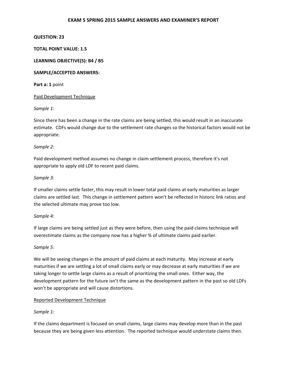### **QUESTION: 23**

### **TOTAL POINT VALUE: 1.5**

#### **LEARNING OBJECTIVE(S): B4 / B5**

#### **SAMPLE/ACCEPTED ANSWERS:**

**Part a: 1** point

#### Paid Development Technique

*Sample 1:* 

Since there has been a change in the rate claims are being settled, this would result in an inaccurate estimate. CDFs would change due to the settlement rate changes so the historical factors would not be appropriate.

#### *Sample 2:*

Paid development method assumes no change in claim settlement process, therefore it's not appropriate to apply old LDF to recent paid claims.

#### *Sample 3:*

If smaller claims settle faster, this may result in lower total paid claims at early maturities as larger claims are settled last. This change in settlement pattern won't be reflected in historic link ratios and the selected ultimate may prove too low.

## *Sample 4:*

If large claims are being settled just as they were before, then using the paid claims technique will overestimate claims as the company now has a higher % of ultimate claims paid earlier.

## *Sample 5:*

We will be seeing changes in the amount of paid claims at each maturity. May increase at early maturities if we are settling a lot of small claims early or may decrease at early maturities if we are taking longer to settle large claims as a result of prioritizing the small ones. Either way, the development pattern for the future isn't the same as the development pattern in the past so old LDFs won't be appropriate and will cause distortions.

## Reported Development Technique

## *Sample 1:*

If the claims department is focused on small claims, large claims may develop more than in the past because they are being given less attention. The reported technique would understate claims then.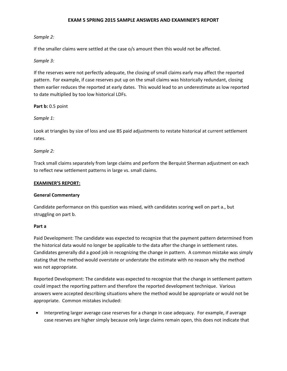## *Sample 2:*

If the smaller claims were settled at the case o/s amount then this would not be affected.

#### *Sample 3:*

If the reserves were not perfectly adequate, the closing of small claims early may affect the reported pattern. For example, if case reserves put up on the small claims was historically redundant, closing them earlier reduces the reported at early dates. This would lead to an underestimate as low reported to date multiplied by too low historical LDFs.

**Part b:** 0.5 point

#### *Sample 1:*

Look at triangles by size of loss and use BS paid adjustments to restate historical at current settlement rates.

#### *Sample 2:*

Track small claims separately from large claims and perform the Berquist Sherman adjustment on each to reflect new settlement patterns in large vs. small claims.

#### **EXAMINER'S REPORT:**

#### **General Commentary**

Candidate performance on this question was mixed, with candidates scoring well on part a., but struggling on part b.

#### **Part a**

Paid Development: The candidate was expected to recognize that the payment pattern determined from the historical data would no longer be applicable to the data after the change in settlement rates. Candidates generally did a good job in recognizing the change in pattern. A common mistake was simply stating that the method would overstate or understate the estimate with no reason why the method was not appropriate.

Reported Development: The candidate was expected to recognize that the change in settlement pattern could impact the reporting pattern and therefore the reported development technique. Various answers were accepted describing situations where the method would be appropriate or would not be appropriate. Common mistakes included:

• Interpreting larger average case reserves for a change in case adequacy. For example, if average case reserves are higher simply because only large claims remain open, this does not indicate that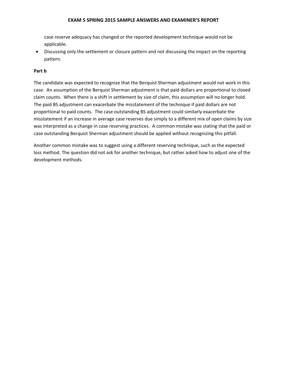case reserve adequacy has changed or the reported development technique would not be applicable.

• Discussing only the settlement or closure pattern and not discussing the impact on the reporting pattern.

### **Part b**

The candidate was expected to recognize that the Berquist Sherman adjustment would not work in this case. An assumption of the Berquist Sherman adjustment is that paid dollars are proportional to closed claim counts. When there is a shift in settlement by size of claim, this assumption will no longer hold. The paid BS adjustment can exacerbate the misstatement of the technique if paid dollars are not proportional to paid counts. The case outstanding BS adjustment could similarly exacerbate the misstatement if an increase in average case reserves due simply to a different mix of open claims by size was interpreted as a change in case reserving practices. A common mistake was stating that the paid or case outstanding Berquist Sherman adjustment should be applied without recognizing this pitfall.

Another common mistake was to suggest using a different reserving technique, such as the expected loss method. The question did not ask for another technique, but rather asked how to adjust one of the development methods.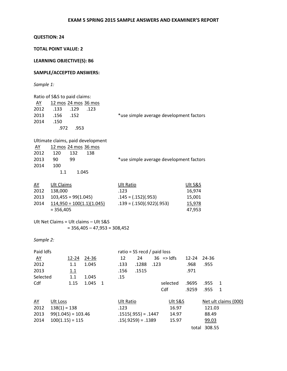# **QUESTION: 24**

## **TOTAL POINT VALUE: 2**

**LEARNING OBJECTIVE(S): B6** 

## **SAMPLE/ACCEPTED ANSWERS:**

*Sample 1:* 

| 120<br>132     | 138                                                                                                                                               |                                                                                                                                                                       |                                                                                                                                                                |                                                                     |                                                       |                                               |                                                                                                                                |                                           |                                                                                                                                                                                 |                                                                            |
|----------------|---------------------------------------------------------------------------------------------------------------------------------------------------|-----------------------------------------------------------------------------------------------------------------------------------------------------------------------|----------------------------------------------------------------------------------------------------------------------------------------------------------------|---------------------------------------------------------------------|-------------------------------------------------------|-----------------------------------------------|--------------------------------------------------------------------------------------------------------------------------------|-------------------------------------------|---------------------------------------------------------------------------------------------------------------------------------------------------------------------------------|----------------------------------------------------------------------------|
| 90<br>99       |                                                                                                                                                   |                                                                                                                                                                       |                                                                                                                                                                |                                                                     |                                                       |                                               |                                                                                                                                |                                           |                                                                                                                                                                                 |                                                                            |
| 100            |                                                                                                                                                   |                                                                                                                                                                       |                                                                                                                                                                |                                                                     |                                                       |                                               |                                                                                                                                |                                           |                                                                                                                                                                                 |                                                                            |
| 1.1            |                                                                                                                                                   |                                                                                                                                                                       |                                                                                                                                                                |                                                                     |                                                       |                                               |                                                                                                                                |                                           |                                                                                                                                                                                 |                                                                            |
|                |                                                                                                                                                   |                                                                                                                                                                       |                                                                                                                                                                |                                                                     |                                                       |                                               |                                                                                                                                |                                           |                                                                                                                                                                                 |                                                                            |
|                |                                                                                                                                                   |                                                                                                                                                                       |                                                                                                                                                                |                                                                     |                                                       |                                               |                                                                                                                                |                                           |                                                                                                                                                                                 |                                                                            |
|                |                                                                                                                                                   |                                                                                                                                                                       |                                                                                                                                                                |                                                                     |                                                       |                                               |                                                                                                                                |                                           |                                                                                                                                                                                 |                                                                            |
|                |                                                                                                                                                   |                                                                                                                                                                       |                                                                                                                                                                |                                                                     |                                                       |                                               |                                                                                                                                |                                           |                                                                                                                                                                                 |                                                                            |
|                |                                                                                                                                                   |                                                                                                                                                                       |                                                                                                                                                                |                                                                     |                                                       |                                               |                                                                                                                                |                                           |                                                                                                                                                                                 |                                                                            |
|                |                                                                                                                                                   |                                                                                                                                                                       |                                                                                                                                                                |                                                                     |                                                       |                                               |                                                                                                                                |                                           |                                                                                                                                                                                 |                                                                            |
|                |                                                                                                                                                   |                                                                                                                                                                       |                                                                                                                                                                |                                                                     |                                                       |                                               |                                                                                                                                |                                           |                                                                                                                                                                                 |                                                                            |
|                |                                                                                                                                                   |                                                                                                                                                                       |                                                                                                                                                                |                                                                     |                                                       |                                               |                                                                                                                                |                                           |                                                                                                                                                                                 |                                                                            |
|                |                                                                                                                                                   |                                                                                                                                                                       |                                                                                                                                                                |                                                                     |                                                       |                                               |                                                                                                                                |                                           |                                                                                                                                                                                 |                                                                            |
| Sample 2:      |                                                                                                                                                   |                                                                                                                                                                       |                                                                                                                                                                |                                                                     |                                                       |                                               |                                                                                                                                |                                           |                                                                                                                                                                                 |                                                                            |
|                |                                                                                                                                                   |                                                                                                                                                                       |                                                                                                                                                                |                                                                     |                                                       |                                               |                                                                                                                                |                                           |                                                                                                                                                                                 |                                                                            |
|                |                                                                                                                                                   |                                                                                                                                                                       |                                                                                                                                                                |                                                                     |                                                       |                                               |                                                                                                                                |                                           |                                                                                                                                                                                 |                                                                            |
|                |                                                                                                                                                   |                                                                                                                                                                       |                                                                                                                                                                |                                                                     |                                                       |                                               |                                                                                                                                |                                           |                                                                                                                                                                                 |                                                                            |
|                |                                                                                                                                                   |                                                                                                                                                                       |                                                                                                                                                                |                                                                     |                                                       |                                               |                                                                                                                                |                                           |                                                                                                                                                                                 |                                                                            |
|                |                                                                                                                                                   |                                                                                                                                                                       |                                                                                                                                                                |                                                                     |                                                       |                                               |                                                                                                                                |                                           |                                                                                                                                                                                 |                                                                            |
|                |                                                                                                                                                   |                                                                                                                                                                       |                                                                                                                                                                |                                                                     |                                                       |                                               |                                                                                                                                |                                           |                                                                                                                                                                                 |                                                                            |
|                |                                                                                                                                                   |                                                                                                                                                                       |                                                                                                                                                                |                                                                     |                                                       |                                               |                                                                                                                                |                                           |                                                                                                                                                                                 |                                                                            |
|                |                                                                                                                                                   |                                                                                                                                                                       |                                                                                                                                                                |                                                                     |                                                       |                                               |                                                                                                                                |                                           |                                                                                                                                                                                 |                                                                            |
| Ult Loss       |                                                                                                                                                   |                                                                                                                                                                       |                                                                                                                                                                |                                                                     |                                                       |                                               |                                                                                                                                |                                           |                                                                                                                                                                                 |                                                                            |
| $138(1) = 138$ |                                                                                                                                                   |                                                                                                                                                                       | .123                                                                                                                                                           |                                                                     |                                                       | 16.97                                         |                                                                                                                                |                                           |                                                                                                                                                                                 |                                                                            |
|                |                                                                                                                                                   |                                                                                                                                                                       |                                                                                                                                                                |                                                                     |                                                       | 14.97                                         |                                                                                                                                |                                           |                                                                                                                                                                                 |                                                                            |
|                |                                                                                                                                                   |                                                                                                                                                                       |                                                                                                                                                                |                                                                     |                                                       | 15.97                                         |                                                                                                                                |                                           |                                                                                                                                                                                 |                                                                            |
|                |                                                                                                                                                   |                                                                                                                                                                       |                                                                                                                                                                |                                                                     |                                                       |                                               |                                                                                                                                |                                           |                                                                                                                                                                                 |                                                                            |
|                | .133<br>.129<br>.156<br>.152<br>.150<br>.972<br><b>Ult Claims</b><br>138,000<br>$= 356,405$<br>Paid Idfs<br>1.1<br>1.1<br>Selected<br>1.1<br>1.15 | Ratio of S&S to paid claims:<br>.123<br>.953<br>1.045<br>$103,455 = 99(1.045)$<br>12-24 24-36<br>1.045<br>1.045<br>1.045<br>$99(1.045) = 103.46$<br>$100(1.15) = 115$ | 12 mos 24 mos 36 mos<br>Ultimate claims, paid development<br>12 mos 24 mos 36 mos<br>$114,950 = 100(1.1)(1.045)$<br>Ult Net Claims = Ult claims - Ult S&S<br>1 | .123<br>$= 356,405 - 47,953 = 308,452$<br>12<br>.133<br>.156<br>.15 | Ult Ratio<br>24<br>.1288<br>.1515<br><b>Ult Ratio</b> | $.145 = (.152)(.953)$<br>$.15(.9259) = .1389$ | $.139 = (.150)(.922)(.953)$<br>ratio = SS recd / paid loss<br>$36$ => ldfs<br>.123<br>selected<br>Cdf<br>$.1515(.955) = .1447$ | .968<br>.971<br>.9695<br>.9259<br>Ult S&S | *use simple average development factors<br>*use simple average development factors<br>Ult S&S<br>16,974<br>15,001<br>15,978<br>47,953<br>12-24<br>24-36<br>.955<br>.955<br>.955 | 1<br>1<br>Net ult claims (000)<br>121.03<br>88.49<br>99.03<br>total 308.55 |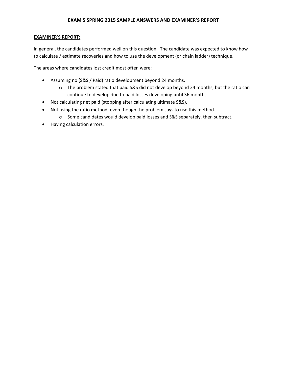## **EXAMINER'S REPORT:**

In general, the candidates performed well on this question. The candidate was expected to know how to calculate / estimate recoveries and how to use the development (or chain ladder) technique.

The areas where candidates lost credit most often were:

- Assuming no (S&S / Paid) ratio development beyond 24 months.
	- o The problem stated that paid S&S did not develop beyond 24 months, but the ratio can continue to develop due to paid losses developing until 36 months.
- Not calculating net paid (stopping after calculating ultimate S&S).
- Not using the ratio method, even though the problem says to use this method.
	- o Some candidates would develop paid losses and S&S separately, then subtract.
- Having calculation errors.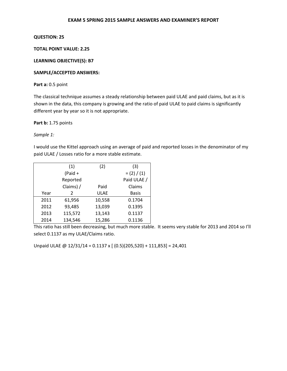## **QUESTION: 25**

## **TOTAL POINT VALUE: 2.25**

## **LEARNING OBJECTIVE(S): B7**

## **SAMPLE/ACCEPTED ANSWERS:**

## **Part a:** 0.5 point

The classical technique assumes a steady relationship between paid ULAE and paid claims, but as it is shown in the data, this company is growing and the ratio of paid ULAE to paid claims is significantly different year by year so it is not appropriate.

**Part b:** 1.75 points

*Sample 1:* 

I would use the Kittel approach using an average of paid and reported losses in the denominator of my paid ULAE / Losses ratio for a more stable estimate.

|      | (1)       | (2)         | (3)           |
|------|-----------|-------------|---------------|
|      | $(Paid +$ |             | $= (2) / (1)$ |
|      | Reported  |             | Paid ULAE /   |
|      | Claims) / | Paid        | Claims        |
| Year | 2         | <b>ULAE</b> | <b>Basis</b>  |
| 2011 | 61,956    | 10,558      | 0.1704        |
| 2012 | 93,485    | 13,039      | 0.1395        |
| 2013 | 115,572   | 13,143      | 0.1137        |
| 2014 | 134,546   | 15,286      | 0.1136        |

This ratio has still been decreasing, but much more stable. It seems very stable for 2013 and 2014 so I'll select 0.1137 as my ULAE/Claims ratio.

Unpaid ULAE @ 12/31/14 = 0.1137 x [ (0.5)(205,520) + 111,853] = 24,401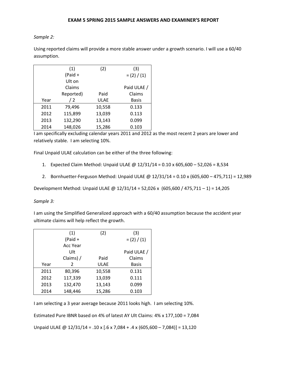*Sample 2:* 

Using reported claims will provide a more stable answer under a growth scenario. I will use a 60/40 assumption.

|      | (1)       | (2)         | (3)           |
|------|-----------|-------------|---------------|
|      | $(Paid +$ |             | $= (2) / (1)$ |
|      | Ult on    |             |               |
|      | Claims    |             | Paid ULAE /   |
|      | Reported) | Paid        | Claims        |
| Year | /2        | <b>ULAE</b> | <b>Basis</b>  |
| 2011 | 79,496    | 10,558      | 0.133         |
| 2012 | 115,899   | 13,039      | 0.113         |
| 2013 | 132,290   | 13,143      | 0.099         |
| 2014 | 148,026   | 15,286      | 0.103         |

I am specifically excluding calendar years 2011 and 2012 as the most recent 2 years are lower and relatively stable. I am selecting 10%.

Final Unpaid ULAE calculation can be either of the three following:

- 1. Expected Claim Method: Unpaid ULAE @ 12/31/14 = 0.10 x 605,600 52,026 = 8,534
- 2. Bornhuetter-Ferguson Method: Unpaid ULAE @ 12/31/14 = 0.10 x (605,600 475,711) = 12,989

Development Method: Unpaid ULAE @ 12/31/14 = 52,026 x (605,600 / 475,711 – 1) = 14,205

*Sample 3:* 

I am using the Simplified Generalized approach with a 60/40 assumption because the accident year ultimate claims will help reflect the growth.

|      | (1)           | (2)         | (3)           |
|------|---------------|-------------|---------------|
|      | $(Paid +$     |             | $= (2) / (1)$ |
|      | Acc Year      |             |               |
|      | Ult           |             | Paid ULAE /   |
|      | Claims) /     | Paid        | Claims        |
| Year | $\mathcal{P}$ | <b>ULAE</b> | <b>Basis</b>  |
| 2011 | 80,396        | 10,558      | 0.131         |
| 2012 | 117,339       | 13,039      | 0.111         |
| 2013 | 132,470       | 13,143      | 0.099         |
| 2014 | 148,446       | 15,286      | 0.103         |

I am selecting a 3 year average because 2011 looks high. I am selecting 10%.

Estimated Pure IBNR based on 4% of latest AY Ult Claims: 4% x 177,100 = 7,084

Unpaid ULAE @  $12/31/14 = .10 \times [.6 \times 7,084 + .4 \times (605,600 - 7,084)] = 13,120$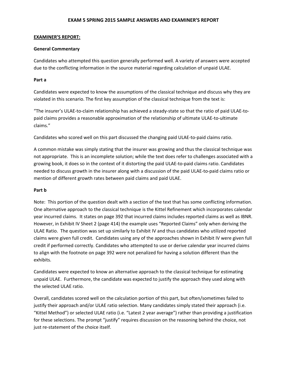#### **EXAMINER'S REPORT:**

#### **General Commentary**

Candidates who attempted this question generally performed well. A variety of answers were accepted due to the conflicting information in the source material regarding calculation of unpaid ULAE.

### **Part a**

Candidates were expected to know the assumptions of the classical technique and discuss why they are violated in this scenario. The first key assumption of the classical technique from the text is:

"The insurer's ULAE-to-claim relationship has achieved a steady-state so that the ratio of paid ULAE-topaid claims provides a reasonable approximation of the relationship of ultimate ULAE-to-ultimate claims."

Candidates who scored well on this part discussed the changing paid ULAE-to-paid claims ratio.

A common mistake was simply stating that the insurer was growing and thus the classical technique was not appropriate. This is an incomplete solution; while the text does refer to challenges associated with a growing book, it does so in the context of it distorting the paid ULAE-to-paid claims ratio. Candidates needed to discuss growth in the insurer along with a discussion of the paid ULAE-to-paid claims ratio or mention of different growth rates between paid claims and paid ULAE.

#### **Part b**

Note: This portion of the question dealt with a section of the text that has some conflicting information. One alternative approach to the classical technique is the Kittel Refinement which incorporates calendar year incurred claims. It states on page 392 that incurred claims includes reported claims as well as IBNR. However, in Exhibit IV Sheet 2 (page 414) the example uses "Reported Claims" only when deriving the ULAE Ratio. The question was set up similarly to Exhibit IV and thus candidates who utilized reported claims were given full credit. Candidates using any of the approaches shown in Exhibit IV were given full credit if performed correctly. Candidates who attempted to use or derive calendar year incurred claims to align with the footnote on page 392 were not penalized for having a solution different than the exhibits.

Candidates were expected to know an alternative approach to the classical technique for estimating unpaid ULAE. Furthermore, the candidate was expected to justify the approach they used along with the selected ULAE ratio.

Overall, candidates scored well on the calculation portion of this part, but often/sometimes failed to justify their approach and/or ULAE ratio selection. Many candidates simply stated their approach (i.e. "Kittel Method") or selected ULAE ratio (i.e. "Latest 2 year average") rather than providing a justification for these selections. The prompt "justify" requires discussion on the reasoning behind the choice, not just re-statement of the choice itself.